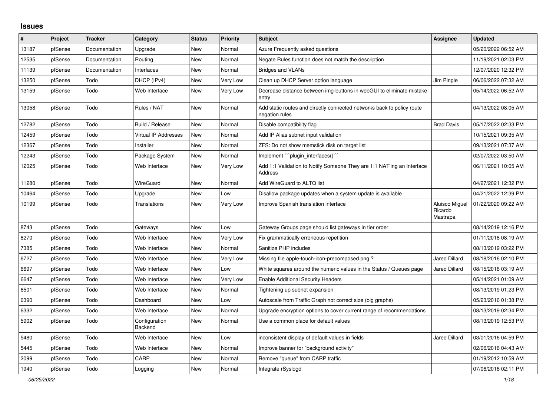## **Issues**

| #     | Project | <b>Tracker</b> | Category                    | <b>Status</b> | <b>Priority</b> | <b>Subject</b>                                                                           | <b>Assignee</b>                              | <b>Updated</b>      |
|-------|---------|----------------|-----------------------------|---------------|-----------------|------------------------------------------------------------------------------------------|----------------------------------------------|---------------------|
| 13187 | pfSense | Documentation  | Upgrade                     | <b>New</b>    | Normal          | Azure Frequently asked questions                                                         |                                              | 05/20/2022 06:52 AM |
| 12535 | pfSense | Documentation  | Routing                     | <b>New</b>    | Normal          | Negate Rules function does not match the description                                     |                                              | 11/19/2021 02:03 PM |
| 11139 | pfSense | Documentation  | Interfaces                  | <b>New</b>    | Normal          | <b>Bridges and VLANs</b>                                                                 |                                              | 12/07/2020 12:32 PM |
| 13250 | pfSense | Todo           | DHCP (IPv4)                 | <b>New</b>    | Very Low        | Clean up DHCP Server option language                                                     | Jim Pingle                                   | 06/06/2022 07:32 AM |
| 13159 | pfSense | Todo           | Web Interface               | <b>New</b>    | Very Low        | Decrease distance between img-buttons in webGUI to eliminate mistake<br>entry            |                                              | 05/14/2022 06:52 AM |
| 13058 | pfSense | Todo           | Rules / NAT                 | <b>New</b>    | Normal          | Add static routes and directly connected networks back to policy route<br>negation rules |                                              | 04/13/2022 08:05 AM |
| 12782 | pfSense | Todo           | Build / Release             | <b>New</b>    | Normal          | Disable compatibility flag                                                               | <b>Brad Davis</b>                            | 05/17/2022 02:33 PM |
| 12459 | pfSense | Todo           | <b>Virtual IP Addresses</b> | New           | Normal          | Add IP Alias subnet input validation                                                     |                                              | 10/15/2021 09:35 AM |
| 12367 | pfSense | Todo           | Installer                   | <b>New</b>    | Normal          | ZFS: Do not show memstick disk on target list                                            |                                              | 09/13/2021 07:37 AM |
| 12243 | pfSense | Todo           | Package System              | <b>New</b>    | Normal          | Implement "plugin_interfaces()"                                                          |                                              | 02/07/2022 03:50 AM |
| 12025 | pfSense | Todo           | Web Interface               | <b>New</b>    | Very Low        | Add 1:1 Validation to Notify Someone They are 1:1 NAT'ing an Interface<br>Address        |                                              | 06/11/2021 10:05 AM |
| 11280 | pfSense | Todo           | WireGuard                   | <b>New</b>    | Normal          | Add WireGuard to ALTQ list                                                               |                                              | 04/27/2021 12:32 PM |
| 10464 | pfSense | Todo           | Upgrade                     | <b>New</b>    | Low             | Disallow package updates when a system update is available                               |                                              | 04/21/2022 12:39 PM |
| 10199 | pfSense | Todo           | <b>Translations</b>         | <b>New</b>    | Very Low        | Improve Spanish translation interface                                                    | <b>Aluisco Miquel</b><br>Ricardo<br>Mastrapa | 01/22/2020 09:22 AM |
| 8743  | pfSense | Todo           | Gateways                    | <b>New</b>    | Low             | Gateway Groups page should list gateways in tier order                                   |                                              | 08/14/2019 12:16 PM |
| 8270  | pfSense | Todo           | Web Interface               | <b>New</b>    | Very Low        | Fix grammatically erroneous repetition                                                   |                                              | 01/11/2018 08:19 AM |
| 7385  | pfSense | Todo           | Web Interface               | <b>New</b>    | Normal          | Sanitize PHP includes                                                                    |                                              | 08/13/2019 03:22 PM |
| 6727  | pfSense | Todo           | Web Interface               | <b>New</b>    | Very Low        | Missing file apple-touch-icon-precomposed.png?                                           | <b>Jared Dillard</b>                         | 08/18/2016 02:10 PM |
| 6697  | pfSense | Todo           | Web Interface               | <b>New</b>    | Low             | White squares around the numeric values in the Status / Queues page                      | <b>Jared Dillard</b>                         | 08/15/2016 03:19 AM |
| 6647  | pfSense | Todo           | Web Interface               | <b>New</b>    | Very Low        | <b>Enable Additional Security Headers</b>                                                |                                              | 05/14/2021 01:09 AM |
| 6501  | pfSense | Todo           | Web Interface               | <b>New</b>    | Normal          | Tightening up subnet expansion                                                           |                                              | 08/13/2019 01:23 PM |
| 6390  | pfSense | Todo           | Dashboard                   | <b>New</b>    | Low             | Autoscale from Traffic Graph not correct size (big graphs)                               |                                              | 05/23/2016 01:38 PM |
| 6332  | pfSense | Todo           | Web Interface               | <b>New</b>    | Normal          | Upgrade encryption options to cover current range of recommendations                     |                                              | 08/13/2019 02:34 PM |
| 5902  | pfSense | Todo           | Configuration<br>Backend    | <b>New</b>    | Normal          | Use a common place for default values                                                    |                                              | 08/13/2019 12:53 PM |
| 5480  | pfSense | Todo           | Web Interface               | <b>New</b>    | Low             | inconsistent display of default values in fields                                         | <b>Jared Dillard</b>                         | 03/01/2016 04:59 PM |
| 5445  | pfSense | Todo           | Web Interface               | <b>New</b>    | Normal          | Improve banner for "background activity"                                                 |                                              | 02/06/2016 04:43 AM |
| 2099  | pfSense | Todo           | CARP                        | <b>New</b>    | Normal          | Remove "queue" from CARP traffic                                                         |                                              | 01/19/2012 10:59 AM |
| 1940  | pfSense | Todo           | Logging                     | <b>New</b>    | Normal          | Integrate rSyslogd                                                                       |                                              | 07/06/2018 02:11 PM |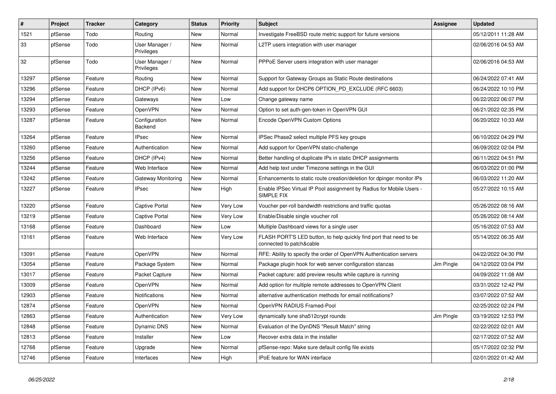| #     | Project | <b>Tracker</b> | Category                     | <b>Status</b> | <b>Priority</b> | <b>Subject</b>                                                                                 | <b>Assignee</b> | <b>Updated</b>      |
|-------|---------|----------------|------------------------------|---------------|-----------------|------------------------------------------------------------------------------------------------|-----------------|---------------------|
| 1521  | pfSense | Todo           | Routing                      | <b>New</b>    | Normal          | Investigate FreeBSD route metric support for future versions                                   |                 | 05/12/2011 11:28 AM |
| 33    | pfSense | Todo           | User Manager /<br>Privileges | <b>New</b>    | Normal          | L2TP users integration with user manager                                                       |                 | 02/06/2016 04:53 AM |
| 32    | pfSense | Todo           | User Manager /<br>Privileges | New           | Normal          | PPPoE Server users integration with user manager                                               |                 | 02/06/2016 04:53 AM |
| 13297 | pfSense | Feature        | Routing                      | <b>New</b>    | Normal          | Support for Gateway Groups as Static Route destinations                                        |                 | 06/24/2022 07:41 AM |
| 13296 | pfSense | Feature        | DHCP (IPv6)                  | <b>New</b>    | Normal          | Add support for DHCP6 OPTION PD EXCLUDE (RFC 6603)                                             |                 | 06/24/2022 10:10 PM |
| 13294 | pfSense | Feature        | Gateways                     | <b>New</b>    | Low             | Change gateway name                                                                            |                 | 06/22/2022 06:07 PM |
| 13293 | pfSense | Feature        | <b>OpenVPN</b>               | <b>New</b>    | Normal          | Option to set auth-gen-token in OpenVPN GUI                                                    |                 | 06/21/2022 02:35 PM |
| 13287 | pfSense | Feature        | Configuration<br>Backend     | New           | Normal          | Encode OpenVPN Custom Options                                                                  |                 | 06/20/2022 10:33 AM |
| 13264 | pfSense | Feature        | <b>IPsec</b>                 | <b>New</b>    | Normal          | IPSec Phase2 select multiple PFS key groups                                                    |                 | 06/10/2022 04:29 PM |
| 13260 | pfSense | Feature        | Authentication               | <b>New</b>    | Normal          | Add support for OpenVPN static-challenge                                                       |                 | 06/09/2022 02:04 PM |
| 13256 | pfSense | Feature        | DHCP (IPv4)                  | <b>New</b>    | Normal          | Better handling of duplicate IPs in static DHCP assignments                                    |                 | 06/11/2022 04:51 PM |
| 13244 | pfSense | Feature        | Web Interface                | <b>New</b>    | Normal          | Add help text under Timezone settings in the GUI                                               |                 | 06/03/2022 01:00 PM |
| 13242 | pfSense | Feature        | Gateway Monitoring           | <b>New</b>    | Normal          | Enhancements to static route creation/deletion for dpinger monitor IPs                         |                 | 06/03/2022 11:20 AM |
| 13227 | pfSense | Feature        | <b>IPsec</b>                 | <b>New</b>    | High            | Enable IPSec Virtual IP Pool assignment by Radius for Mobile Users -<br>SIMPLE FIX             |                 | 05/27/2022 10:15 AM |
| 13220 | pfSense | Feature        | <b>Captive Portal</b>        | <b>New</b>    | Very Low        | Voucher per-roll bandwidth restrictions and traffic quotas                                     |                 | 05/26/2022 08:16 AM |
| 13219 | pfSense | Feature        | Captive Portal               | <b>New</b>    | Very Low        | Enable/Disable single voucher roll                                                             |                 | 05/26/2022 08:14 AM |
| 13168 | pfSense | Feature        | Dashboard                    | <b>New</b>    | Low             | Multiple Dashboard views for a single user                                                     |                 | 05/16/2022 07:53 AM |
| 13161 | pfSense | Feature        | Web Interface                | <b>New</b>    | Very Low        | FLASH PORT'S LED button, to help quickly find port that need to be<br>connected to patch&cable |                 | 05/14/2022 06:35 AM |
| 13091 | pfSense | Feature        | OpenVPN                      | <b>New</b>    | Normal          | RFE: Ability to specify the order of OpenVPN Authentication servers                            |                 | 04/22/2022 04:30 PM |
| 13054 | pfSense | Feature        | Package System               | <b>New</b>    | Normal          | Package plugin hook for web server configuration stanzas                                       | Jim Pingle      | 04/12/2022 03:04 PM |
| 13017 | pfSense | Feature        | Packet Capture               | <b>New</b>    | Normal          | Packet capture: add preview results while capture is running                                   |                 | 04/09/2022 11:08 AM |
| 13009 | pfSense | Feature        | <b>OpenVPN</b>               | <b>New</b>    | Normal          | Add option for multiple remote addresses to OpenVPN Client                                     |                 | 03/31/2022 12:42 PM |
| 12903 | pfSense | Feature        | Notifications                | <b>New</b>    | Normal          | alternative authentication methods for email notifications?                                    |                 | 03/07/2022 07:52 AM |
| 12874 | pfSense | Feature        | <b>OpenVPN</b>               | <b>New</b>    | Normal          | OpenVPN RADIUS Framed-Pool                                                                     |                 | 02/25/2022 02:24 PM |
| 12863 | pfSense | Feature        | Authentication               | <b>New</b>    | Very Low        | dynamically tune sha512crypt rounds                                                            | Jim Pingle      | 03/19/2022 12:53 PM |
| 12848 | pfSense | Feature        | <b>Dynamic DNS</b>           | <b>New</b>    | Normal          | Evaluation of the DynDNS "Result Match" string                                                 |                 | 02/22/2022 02:01 AM |
| 12813 | pfSense | Feature        | Installer                    | <b>New</b>    | Low             | Recover extra data in the installer                                                            |                 | 02/17/2022 07:52 AM |
| 12768 | pfSense | Feature        | Upgrade                      | <b>New</b>    | Normal          | pfSense-repo: Make sure default config file exists                                             |                 | 05/17/2022 02:32 PM |
| 12746 | pfSense | Feature        | Interfaces                   | <b>New</b>    | High            | IPoE feature for WAN interface                                                                 |                 | 02/01/2022 01:42 AM |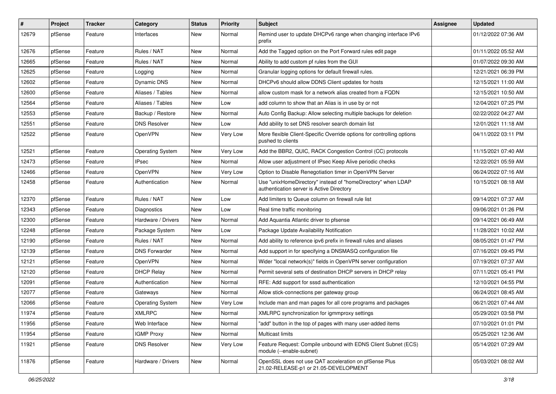| #     | Project | <b>Tracker</b> | Category                | <b>Status</b> | <b>Priority</b> | <b>Subject</b>                                                                                            | Assignee | <b>Updated</b>      |
|-------|---------|----------------|-------------------------|---------------|-----------------|-----------------------------------------------------------------------------------------------------------|----------|---------------------|
| 12679 | pfSense | Feature        | Interfaces              | New           | Normal          | Remind user to update DHCPv6 range when changing interface IPv6<br>prefix                                 |          | 01/12/2022 07:36 AM |
| 12676 | pfSense | Feature        | Rules / NAT             | New           | Normal          | Add the Tagged option on the Port Forward rules edit page                                                 |          | 01/11/2022 05:52 AM |
| 12665 | pfSense | Feature        | Rules / NAT             | <b>New</b>    | Normal          | Ability to add custom pf rules from the GUI                                                               |          | 01/07/2022 09:30 AM |
| 12625 | pfSense | Feature        | Logging                 | <b>New</b>    | Normal          | Granular logging options for default firewall rules.                                                      |          | 12/21/2021 06:39 PM |
| 12602 | pfSense | Feature        | <b>Dynamic DNS</b>      | <b>New</b>    | Normal          | DHCPv6 should allow DDNS Client updates for hosts                                                         |          | 12/15/2021 11:00 AM |
| 12600 | pfSense | Feature        | Aliases / Tables        | New           | Normal          | allow custom mask for a network alias created from a FQDN                                                 |          | 12/15/2021 10:50 AM |
| 12564 | pfSense | Feature        | Aliases / Tables        | <b>New</b>    | Low             | add column to show that an Alias is in use by or not                                                      |          | 12/04/2021 07:25 PM |
| 12553 | pfSense | Feature        | Backup / Restore        | <b>New</b>    | Normal          | Auto Config Backup: Allow selecting multiple backups for deletion                                         |          | 02/22/2022 04:27 AM |
| 12551 | pfSense | Feature        | <b>DNS Resolver</b>     | <b>New</b>    | Low             | Add ability to set DNS resolver search domain list                                                        |          | 12/01/2021 11:18 AM |
| 12522 | pfSense | Feature        | OpenVPN                 | New           | Very Low        | More flexible Client-Specific Override options for controlling options<br>pushed to clients               |          | 04/11/2022 03:11 PM |
| 12521 | pfSense | Feature        | <b>Operating System</b> | New           | Very Low        | Add the BBR2, QUIC, RACK Congestion Control (CC) protocols                                                |          | 11/15/2021 07:40 AM |
| 12473 | pfSense | Feature        | <b>IPsec</b>            | <b>New</b>    | Normal          | Allow user adjustment of IPsec Keep Alive periodic checks                                                 |          | 12/22/2021 05:59 AM |
| 12466 | pfSense | Feature        | OpenVPN                 | New           | Very Low        | Option to Disable Renegotiation timer in OpenVPN Server                                                   |          | 06/24/2022 07:16 AM |
| 12458 | pfSense | Feature        | Authentication          | <b>New</b>    | Normal          | Use "unixHomeDirectory" instead of "homeDirectory" when LDAP<br>authentication server is Active Directory |          | 10/15/2021 08:18 AM |
| 12370 | pfSense | Feature        | Rules / NAT             | <b>New</b>    | Low             | Add limiters to Queue column on firewall rule list                                                        |          | 09/14/2021 07:37 AM |
| 12343 | pfSense | Feature        | Diagnostics             | New           | Low             | Real time traffic monitoring                                                                              |          | 09/06/2021 01:26 PM |
| 12300 | pfSense | Feature        | Hardware / Drivers      | <b>New</b>    | Normal          | Add Aquantia Atlantic driver to pfsense                                                                   |          | 09/14/2021 06:49 AM |
| 12248 | pfSense | Feature        | Package System          | <b>New</b>    | Low             | Package Update Availability Notification                                                                  |          | 11/28/2021 10:02 AM |
| 12190 | pfSense | Feature        | Rules / NAT             | New           | Normal          | Add ability to reference ipv6 prefix in firewall rules and aliases                                        |          | 08/05/2021 01:47 PM |
| 12139 | pfSense | Feature        | <b>DNS Forwarder</b>    | <b>New</b>    | Normal          | Add support in for specifying a DNSMASQ configuration file                                                |          | 07/16/2021 09:45 PM |
| 12121 | pfSense | Feature        | OpenVPN                 | New           | Normal          | Wider "local network(s)" fields in OpenVPN server configuration                                           |          | 07/19/2021 07:37 AM |
| 12120 | pfSense | Feature        | <b>DHCP Relay</b>       | <b>New</b>    | Normal          | Permit several sets of destination DHCP servers in DHCP relay                                             |          | 07/11/2021 05:41 PM |
| 12091 | pfSense | Feature        | Authentication          | New           | Normal          | RFE: Add support for sssd authentication                                                                  |          | 12/10/2021 04:55 PM |
| 12077 | pfSense | Feature        | Gateways                | <b>New</b>    | Normal          | Allow stick-connections per gateway group                                                                 |          | 06/24/2021 08:45 AM |
| 12066 | pfSense | Feature        | <b>Operating System</b> | <b>New</b>    | Very Low        | Include man and man pages for all core programs and packages                                              |          | 06/21/2021 07:44 AM |
| 11974 | pfSense | Feature        | XMLRPC                  | New           | Normal          | XMLRPC synchronization for igmmproxy settings                                                             |          | 05/29/2021 03:58 PM |
| 11956 | pfSense | Feature        | Web Interface           | New           | Normal          | "add" button in the top of pages with many user-added items                                               |          | 07/10/2021 01:01 PM |
| 11954 | pfSense | Feature        | <b>IGMP Proxy</b>       | New           | Normal          | Multicast limits                                                                                          |          | 05/25/2021 12:36 AM |
| 11921 | pfSense | Feature        | <b>DNS Resolver</b>     | New           | Very Low        | Feature Request: Compile unbound with EDNS Client Subnet (ECS)<br>module (--enable-subnet)                |          | 05/14/2021 07:29 AM |
| 11876 | pfSense | Feature        | Hardware / Drivers      | New           | Normal          | OpenSSL does not use QAT acceleration on pfSense Plus<br>21.02-RELEASE-p1 or 21.05-DEVELOPMENT            |          | 05/03/2021 08:02 AM |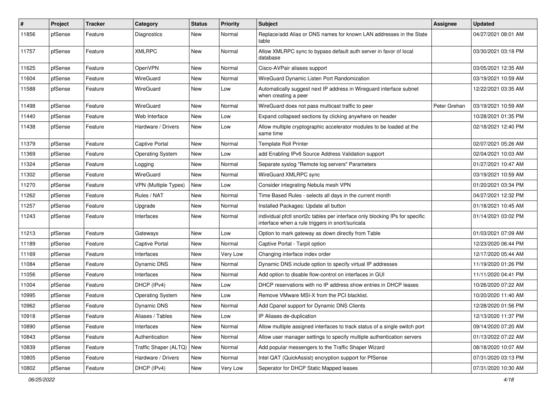| #     | Project | <b>Tracker</b> | Category                    | <b>Status</b> | <b>Priority</b> | <b>Subject</b>                                                                                                                   | <b>Assignee</b> | <b>Updated</b>      |
|-------|---------|----------------|-----------------------------|---------------|-----------------|----------------------------------------------------------------------------------------------------------------------------------|-----------------|---------------------|
| 11856 | pfSense | Feature        | Diagnostics                 | <b>New</b>    | Normal          | Replace/add Alias or DNS names for known LAN addresses in the State<br>table                                                     |                 | 04/27/2021 08:01 AM |
| 11757 | pfSense | Feature        | <b>XMLRPC</b>               | <b>New</b>    | Normal          | Allow XMLRPC sync to bypass default auth server in favor of local<br>database                                                    |                 | 03/30/2021 03:18 PM |
| 11625 | pfSense | Feature        | <b>OpenVPN</b>              | <b>New</b>    | Normal          | Cisco-AVPair aliases support                                                                                                     |                 | 03/05/2021 12:35 AM |
| 11604 | pfSense | Feature        | WireGuard                   | <b>New</b>    | Normal          | WireGuard Dynamic Listen Port Randomization                                                                                      |                 | 03/19/2021 10:59 AM |
| 11588 | pfSense | Feature        | WireGuard                   | <b>New</b>    | Low             | Automatically suggest next IP address in Wireguard interface subnet<br>when creating a peer                                      |                 | 12/22/2021 03:35 AM |
| 11498 | pfSense | Feature        | WireGuard                   | <b>New</b>    | Normal          | WireGuard does not pass multicast traffic to peer                                                                                | Peter Grehan    | 03/19/2021 10:59 AM |
| 11440 | pfSense | Feature        | Web Interface               | <b>New</b>    | Low             | Expand collapsed sections by clicking anywhere on header                                                                         |                 | 10/28/2021 01:35 PM |
| 11438 | pfSense | Feature        | Hardware / Drivers          | New           | Low             | Allow multiple cryptographic accelerator modules to be loaded at the<br>same time                                                |                 | 02/18/2021 12:40 PM |
| 11379 | pfSense | Feature        | <b>Captive Portal</b>       | <b>New</b>    | Normal          | <b>Template Roll Printer</b>                                                                                                     |                 | 02/07/2021 05:26 AM |
| 11369 | pfSense | Feature        | <b>Operating System</b>     | <b>New</b>    | Low             | add Enabling IPv6 Source Address Validation support                                                                              |                 | 02/04/2021 10:03 AM |
| 11324 | pfSense | Feature        | Logging                     | <b>New</b>    | Normal          | Separate syslog "Remote log servers" Parameters                                                                                  |                 | 01/27/2021 10:47 AM |
| 11302 | pfSense | Feature        | WireGuard                   | <b>New</b>    | Normal          | WireGuard XMLRPC sync                                                                                                            |                 | 03/19/2021 10:59 AM |
| 11270 | pfSense | Feature        | <b>VPN (Multiple Types)</b> | <b>New</b>    | Low             | Consider integrating Nebula mesh VPN                                                                                             |                 | 01/20/2021 03:34 PM |
| 11262 | pfSense | Feature        | Rules / NAT                 | <b>New</b>    | Normal          | Time Based Rules - selects all days in the current month                                                                         |                 | 04/27/2021 12:32 PM |
| 11257 | pfSense | Feature        | Upgrade                     | <b>New</b>    | Normal          | Installed Packages: Update all button                                                                                            |                 | 01/18/2021 10:45 AM |
| 11243 | pfSense | Feature        | Interfaces                  | <b>New</b>    | Normal          | individual pfctl snort2c tables per interface only blocking IPs for specific<br>interface when a rule triggers in snort/suricata |                 | 01/14/2021 03:02 PM |
| 11213 | pfSense | Feature        | Gateways                    | <b>New</b>    | Low             | Option to mark gateway as down directly from Table                                                                               |                 | 01/03/2021 07:09 AM |
| 11189 | pfSense | Feature        | Captive Portal              | New           | Normal          | Captive Portal - Tarpit option                                                                                                   |                 | 12/23/2020 06:44 PM |
| 11169 | pfSense | Feature        | Interfaces                  | <b>New</b>    | Very Low        | Changing interface index order                                                                                                   |                 | 12/17/2020 05:44 AM |
| 11084 | pfSense | Feature        | Dynamic DNS                 | <b>New</b>    | Normal          | Dynamic DNS include option to specify virtual IP addresses                                                                       |                 | 11/19/2020 01:26 PM |
| 11056 | pfSense | Feature        | Interfaces                  | <b>New</b>    | Normal          | Add option to disable flow-control on interfaces in GUI                                                                          |                 | 11/11/2020 04:41 PM |
| 11004 | pfSense | Feature        | DHCP (IPv4)                 | <b>New</b>    | Low             | DHCP reservations with no IP address show entries in DHCP leases                                                                 |                 | 10/26/2020 07:22 AM |
| 10995 | pfSense | Feature        | <b>Operating System</b>     | <b>New</b>    | Low             | Remove VMware MSI-X from the PCI blacklist.                                                                                      |                 | 10/20/2020 11:40 AM |
| 10962 | pfSense | Feature        | Dynamic DNS                 | <b>New</b>    | Normal          | Add Cpanel support for Dynamic DNS Clients                                                                                       |                 | 12/28/2020 01:56 PM |
| 10918 | pfSense | Feature        | Aliases / Tables            | New           | Low             | IP Aliases de-duplication                                                                                                        |                 | 12/13/2020 11:37 PM |
| 10890 | pfSense | Feature        | Interfaces                  | New           | Normal          | Allow multiple assigned interfaces to track status of a single switch port                                                       |                 | 09/14/2020 07:20 AM |
| 10843 | pfSense | Feature        | Authentication              | New           | Normal          | Allow user manager settings to specify multiple authentication servers                                                           |                 | 01/13/2022 07:22 AM |
| 10839 | pfSense | Feature        | Traffic Shaper (ALTQ)       | <b>New</b>    | Normal          | Add popular messengers to the Traffic Shaper Wizard                                                                              |                 | 08/18/2020 10:07 AM |
| 10805 | pfSense | Feature        | Hardware / Drivers          | New           | Normal          | Intel QAT (QuickAssist) encryption support for PfSense                                                                           |                 | 07/31/2020 03:13 PM |
| 10802 | pfSense | Feature        | DHCP (IPv4)                 | New           | Very Low        | Seperator for DHCP Static Mapped leases                                                                                          |                 | 07/31/2020 10:30 AM |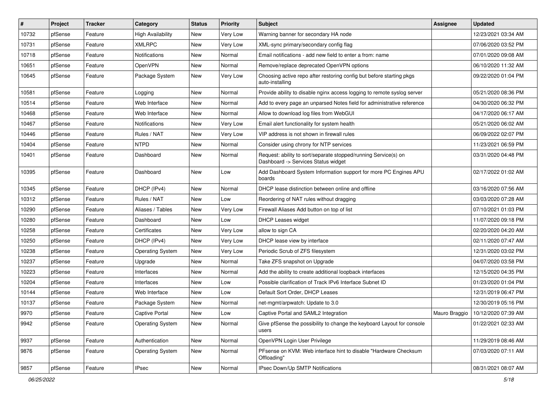| #     | Project | <b>Tracker</b> | <b>Category</b>          | <b>Status</b> | <b>Priority</b> | Subject                                                                                                | <b>Assignee</b> | <b>Updated</b>      |
|-------|---------|----------------|--------------------------|---------------|-----------------|--------------------------------------------------------------------------------------------------------|-----------------|---------------------|
| 10732 | pfSense | Feature        | <b>High Availability</b> | <b>New</b>    | Very Low        | Warning banner for secondary HA node                                                                   |                 | 12/23/2021 03:34 AM |
| 10731 | pfSense | Feature        | <b>XMLRPC</b>            | <b>New</b>    | Very Low        | XML-sync primary/secondary config flag                                                                 |                 | 07/06/2020 03:52 PM |
| 10718 | pfSense | Feature        | <b>Notifications</b>     | New           | Normal          | Email notifications - add new field to enter a from: name                                              |                 | 07/01/2020 09:08 AM |
| 10651 | pfSense | Feature        | OpenVPN                  | <b>New</b>    | Normal          | Remove/replace deprecated OpenVPN options                                                              |                 | 06/10/2020 11:32 AM |
| 10645 | pfSense | Feature        | Package System           | <b>New</b>    | Very Low        | Choosing active repo after restoring config but before starting pkgs<br>auto-installing                |                 | 09/22/2020 01:04 PM |
| 10581 | pfSense | Feature        | Logging                  | <b>New</b>    | Normal          | Provide ability to disable nginx access logging to remote syslog server                                |                 | 05/21/2020 08:36 PM |
| 10514 | pfSense | Feature        | Web Interface            | <b>New</b>    | Normal          | Add to every page an unparsed Notes field for administrative reference                                 |                 | 04/30/2020 06:32 PM |
| 10468 | pfSense | Feature        | Web Interface            | <b>New</b>    | Normal          | Allow to download log files from WebGUI                                                                |                 | 04/17/2020 06:17 AM |
| 10467 | pfSense | Feature        | Notifications            | <b>New</b>    | Very Low        | Email alert functionality for system health                                                            |                 | 05/21/2020 06:02 AM |
| 10446 | pfSense | Feature        | Rules / NAT              | New           | Very Low        | VIP address is not shown in firewall rules                                                             |                 | 06/09/2022 02:07 PM |
| 10404 | pfSense | Feature        | <b>NTPD</b>              | <b>New</b>    | Normal          | Consider using chrony for NTP services                                                                 |                 | 11/23/2021 06:59 PM |
| 10401 | pfSense | Feature        | Dashboard                | <b>New</b>    | Normal          | Request: ability to sort/separate stopped/running Service(s) on<br>Dashboard -> Services Status widget |                 | 03/31/2020 04:48 PM |
| 10395 | pfSense | Feature        | Dashboard                | <b>New</b>    | Low             | Add Dashboard System Information support for more PC Engines APU<br>boards                             |                 | 02/17/2022 01:02 AM |
| 10345 | pfSense | Feature        | DHCP (IPv4)              | <b>New</b>    | Normal          | DHCP lease distinction between online and offline                                                      |                 | 03/16/2020 07:56 AM |
| 10312 | pfSense | Feature        | Rules / NAT              | <b>New</b>    | Low             | Reordering of NAT rules without dragging                                                               |                 | 03/03/2020 07:28 AM |
| 10290 | pfSense | Feature        | Aliases / Tables         | New           | Very Low        | Firewall Aliases Add button on top of list                                                             |                 | 07/10/2021 01:03 PM |
| 10280 | pfSense | Feature        | Dashboard                | <b>New</b>    | Low             | <b>DHCP Leases widget</b>                                                                              |                 | 11/07/2020 09:18 PM |
| 10258 | pfSense | Feature        | Certificates             | <b>New</b>    | Very Low        | allow to sign CA                                                                                       |                 | 02/20/2020 04:20 AM |
| 10250 | pfSense | Feature        | DHCP (IPv4)              | <b>New</b>    | Very Low        | DHCP lease view by interface                                                                           |                 | 02/11/2020 07:47 AM |
| 10238 | pfSense | Feature        | <b>Operating System</b>  | <b>New</b>    | Very Low        | Periodic Scrub of ZFS filesystem                                                                       |                 | 12/31/2020 03:02 PM |
| 10237 | pfSense | Feature        | Upgrade                  | New           | Normal          | Take ZFS snapshot on Upgrade                                                                           |                 | 04/07/2020 03:58 PM |
| 10223 | pfSense | Feature        | Interfaces               | <b>New</b>    | Normal          | Add the ability to create additional loopback interfaces                                               |                 | 12/15/2020 04:35 PM |
| 10204 | pfSense | Feature        | Interfaces               | <b>New</b>    | Low             | Possible clarification of Track IPv6 Interface Subnet ID                                               |                 | 01/23/2020 01:04 PM |
| 10144 | pfSense | Feature        | Web Interface            | <b>New</b>    | Low             | Default Sort Order, DHCP Leases                                                                        |                 | 12/31/2019 06:47 PM |
| 10137 | pfSense | Feature        | Package System           | New           | Normal          | net-mgmt/arpwatch: Update to 3.0                                                                       |                 | 12/30/2019 05:16 PM |
| 9970  | pfSense | Feature        | Captive Portal           | New           | Low             | Captive Portal and SAML2 Integration                                                                   | Mauro Braggio   | 10/12/2020 07:39 AM |
| 9942  | pfSense | Feature        | <b>Operating System</b>  | New           | Normal          | Give pfSense the possibility to change the keyboard Layout for console<br>users                        |                 | 01/22/2021 02:33 AM |
| 9937  | pfSense | Feature        | Authentication           | New           | Normal          | OpenVPN Login User Privilege                                                                           |                 | 11/29/2019 08:46 AM |
| 9876  | pfSense | Feature        | <b>Operating System</b>  | New           | Normal          | PFsense on KVM: Web interface hint to disable "Hardware Checksum<br>Offloading"                        |                 | 07/03/2020 07:11 AM |
| 9857  | pfSense | Feature        | <b>IPsec</b>             | New           | Normal          | IPsec Down/Up SMTP Notifications                                                                       |                 | 08/31/2021 08:07 AM |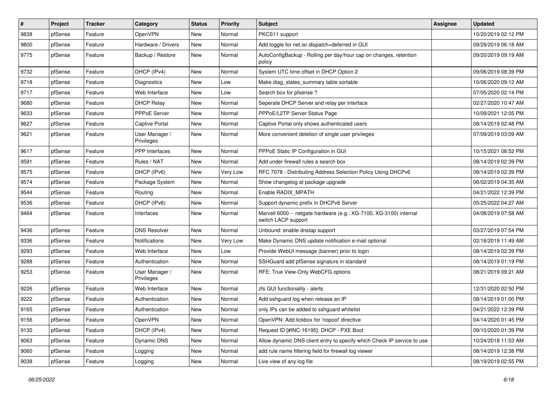| $\sharp$ | Project | <b>Tracker</b> | Category                     | <b>Status</b> | <b>Priority</b> | Subject                                                                                   | Assignee | <b>Updated</b>      |
|----------|---------|----------------|------------------------------|---------------|-----------------|-------------------------------------------------------------------------------------------|----------|---------------------|
| 9838     | pfSense | Feature        | OpenVPN                      | New           | Normal          | PKCS11 support                                                                            |          | 10/20/2019 02:12 PM |
| 9800     | pfSense | Feature        | Hardware / Drivers           | <b>New</b>    | Normal          | Add toggle for net.isr.dispatch=deferred in GUI                                           |          | 09/29/2019 06:18 AM |
| 9775     | pfSense | Feature        | Backup / Restore             | <b>New</b>    | Normal          | AutoConfigBackup - Rolling per day/hour cap on changes, retention<br>policy               |          | 09/20/2019 09:19 AM |
| 9732     | pfSense | Feature        | DHCP (IPv4)                  | New           | Normal          | System UTC time offset in DHCP Option 2                                                   |          | 09/06/2019 08:39 PM |
| 9718     | pfSense | Feature        | <b>Diagnostics</b>           | New           | Low             | Make diag_states_summary table sortable                                                   |          | 10/06/2020 09:12 AM |
| 9717     | pfSense | Feature        | Web Interface                | New           | Low             | Search box for pfsense?                                                                   |          | 07/05/2020 02:14 PM |
| 9680     | pfSense | Feature        | <b>DHCP Relay</b>            | New           | Normal          | Seperate DHCP Server and relay per interface                                              |          | 02/27/2020 10:47 AM |
| 9633     | pfSense | Feature        | PPPoE Server                 | New           | Normal          | PPPoE/L2TP Server Status Page                                                             |          | 10/09/2021 12:05 PM |
| 9627     | pfSense | Feature        | Captive Portal               | New           | Normal          | Captive Portal only shows authenticated users                                             |          | 08/14/2019 02:48 PM |
| 9621     | pfSense | Feature        | User Manager /<br>Privileges | New           | Normal          | More convenient deletion of single user privileges                                        |          | 07/09/2019 03:09 AM |
| 9617     | pfSense | Feature        | PPP Interfaces               | <b>New</b>    | Normal          | PPPoE Static IP Configuration in GUI                                                      |          | 10/15/2021 08:52 PM |
| 9591     | pfSense | Feature        | Rules / NAT                  | New           | Normal          | Add under firewall rules a search box                                                     |          | 08/14/2019 02:39 PM |
| 9575     | pfSense | Feature        | DHCP (IPv6)                  | New           | Very Low        | RFC 7078 - Distributing Address Selection Policy Using DHCPv6                             |          | 08/14/2019 02:39 PM |
| 9574     | pfSense | Feature        | Package System               | New           | Normal          | Show changelog at package upgrade                                                         |          | 06/02/2019 04:35 AM |
| 9544     | pfSense | Feature        | Routing                      | New           | Normal          | Enable RADIX_MPATH                                                                        |          | 04/21/2022 12:39 PM |
| 9536     | pfSense | Feature        | DHCP (IPv6)                  | <b>New</b>    | Normal          | Support dynamic prefix in DHCPv6 Server                                                   |          | 05/25/2022 04:27 AM |
| 9464     | pfSense | Feature        | Interfaces                   | New           | Normal          | Marvell 6000 -- netgate hardware (e.g.: XG-7100, XG-3100) internal<br>switch LACP support |          | 04/08/2019 07:58 AM |
| 9436     | pfSense | Feature        | <b>DNS Resolver</b>          | <b>New</b>    | Normal          | Unbound: enable dnstap support                                                            |          | 03/27/2019 07:54 PM |
| 9336     | pfSense | Feature        | Notifications                | New           | Very Low        | Make Dynamic DNS update notification e-mail optional                                      |          | 02/18/2019 11:49 AM |
| 9293     | pfSense | Feature        | Web Interface                | <b>New</b>    | Low             | Provide WebUI message (banner) prior to login                                             |          | 08/14/2019 02:39 PM |
| 9288     | pfSense | Feature        | Authentication               | New           | Normal          | SSHGuard add pfSense signature in standard                                                |          | 08/14/2019 01:19 PM |
| 9253     | pfSense | Feature        | User Manager /<br>Privileges | New           | Normal          | RFE: True View-Only WebCFG options                                                        |          | 08/21/2019 09:21 AM |
| 9226     | pfSense | Feature        | Web Interface                | New           | Normal          | zfs GUI functionality - alerts                                                            |          | 12/31/2020 02:50 PM |
| 9222     | pfSense | Feature        | Authentication               | New           | Normal          | Add sshguard log when release an IP                                                       |          | 08/14/2019 01:00 PM |
| 9165     | pfSense | Feature        | Authentication               | New           | Normal          | only IPs can be added to sshguard whitelist                                               |          | 04/21/2022 12:39 PM |
| 9156     | pfSense | Feature        | OpenVPN                      | New           | Normal          | OpenVPN: Add tickbox for 'nopool' directive                                               |          | 04/14/2020 01:45 PM |
| 9130     | pfSense | Feature        | DHCP (IPv4)                  | New           | Normal          | Request ID [#INC-16195]: DHCP - PXE Boot                                                  |          | 09/10/2020 01:39 PM |
| 9063     | pfSense | Feature        | <b>Dynamic DNS</b>           | New           | Normal          | Allow dynamic DNS client entry to specify which Check IP service to use                   |          | 10/24/2018 11:53 AM |
| 9060     | pfSense | Feature        | Logging                      | New           | Normal          | add rule name filtering field for firewall log viewer                                     |          | 08/14/2019 12:38 PM |
| 9038     | pfSense | Feature        | Logging                      | New           | Normal          | Live view of any log file                                                                 |          | 08/19/2019 02:55 PM |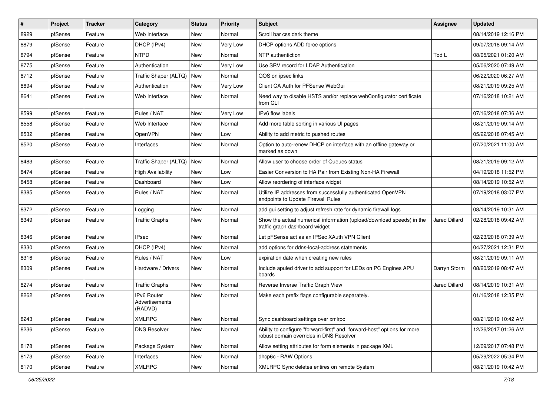| $\vert$ # | Project | <b>Tracker</b> | <b>Category</b>                          | <b>Status</b> | <b>Priority</b> | Subject                                                                                                             | <b>Assignee</b>      | <b>Updated</b>      |
|-----------|---------|----------------|------------------------------------------|---------------|-----------------|---------------------------------------------------------------------------------------------------------------------|----------------------|---------------------|
| 8929      | pfSense | Feature        | Web Interface                            | <b>New</b>    | Normal          | Scroll bar css dark theme                                                                                           |                      | 08/14/2019 12:16 PM |
| 8879      | pfSense | Feature        | DHCP (IPv4)                              | <b>New</b>    | Very Low        | DHCP options ADD force options                                                                                      |                      | 09/07/2018 09:14 AM |
| 8794      | pfSense | Feature        | <b>NTPD</b>                              | <b>New</b>    | Normal          | NTP authentiction                                                                                                   | Tod L                | 08/05/2021 01:20 AM |
| 8775      | pfSense | Feature        | Authentication                           | <b>New</b>    | Very Low        | Use SRV record for LDAP Authentication                                                                              |                      | 05/06/2020 07:49 AM |
| 8712      | pfSense | Feature        | Traffic Shaper (ALTQ)                    | <b>New</b>    | Normal          | QOS on ipsec links                                                                                                  |                      | 06/22/2020 06:27 AM |
| 8694      | pfSense | Feature        | Authentication                           | New           | Very Low        | Client CA Auth for PFSense WebGui                                                                                   |                      | 08/21/2019 09:25 AM |
| 8641      | pfSense | Feature        | Web Interface                            | <b>New</b>    | Normal          | Need way to disable HSTS and/or replace webConfigurator certificate<br>from CLI                                     |                      | 07/16/2018 10:21 AM |
| 8599      | pfSense | Feature        | Rules / NAT                              | <b>New</b>    | Very Low        | IPv6 flow labels                                                                                                    |                      | 07/16/2018 07:36 AM |
| 8558      | pfSense | Feature        | Web Interface                            | <b>New</b>    | Normal          | Add more table sorting in various UI pages                                                                          |                      | 08/21/2019 09:14 AM |
| 8532      | pfSense | Feature        | OpenVPN                                  | <b>New</b>    | Low             | Ability to add metric to pushed routes                                                                              |                      | 05/22/2018 07:45 AM |
| 8520      | pfSense | Feature        | Interfaces                               | New           | Normal          | Option to auto-renew DHCP on interface with an offline gateway or<br>marked as down                                 |                      | 07/20/2021 11:00 AM |
| 8483      | pfSense | Feature        | Traffic Shaper (ALTQ)                    | <b>New</b>    | Normal          | Allow user to choose order of Queues status                                                                         |                      | 08/21/2019 09:12 AM |
| 8474      | pfSense | Feature        | <b>High Availability</b>                 | New           | Low             | Easier Conversion to HA Pair from Existing Non-HA Firewall                                                          |                      | 04/19/2018 11:52 PM |
| 8458      | pfSense | Feature        | Dashboard                                | <b>New</b>    | Low             | Allow reordering of interface widget                                                                                |                      | 08/14/2019 10:52 AM |
| 8385      | pfSense | Feature        | Rules / NAT                              | <b>New</b>    | Normal          | Utilize IP addresses from successfully authenticated OpenVPN<br>endpoints to Update Firewall Rules                  |                      | 07/19/2018 03:07 PM |
| 8372      | pfSense | Feature        | Logging                                  | <b>New</b>    | Normal          | add qui setting to adjust refresh rate for dynamic firewall logs                                                    |                      | 08/14/2019 10:31 AM |
| 8349      | pfSense | Feature        | <b>Traffic Graphs</b>                    | <b>New</b>    | Normal          | Show the actual numerical information (upload/download speeds) in the<br>traffic graph dashboard widget             | <b>Jared Dillard</b> | 02/28/2018 09:42 AM |
| 8346      | pfSense | Feature        | <b>IPsec</b>                             | <b>New</b>    | Normal          | Let pFSense act as an IPSec XAuth VPN Client                                                                        |                      | 02/23/2018 07:39 AM |
| 8330      | pfSense | Feature        | DHCP (IPv4)                              | <b>New</b>    | Normal          | add options for ddns-local-address statements                                                                       |                      | 04/27/2021 12:31 PM |
| 8316      | pfSense | Feature        | Rules / NAT                              | <b>New</b>    | Low             | expiration date when creating new rules                                                                             |                      | 08/21/2019 09:11 AM |
| 8309      | pfSense | Feature        | Hardware / Drivers                       | New           | Normal          | Include apuled driver to add support for LEDs on PC Engines APU<br>boards                                           | Darryn Storm         | 08/20/2019 08:47 AM |
| 8274      | pfSense | Feature        | <b>Traffic Graphs</b>                    | <b>New</b>    | Normal          | Reverse Inverse Traffic Graph View                                                                                  | Jared Dillard        | 08/14/2019 10:31 AM |
| 8262      | pfSense | Feature        | IPv6 Router<br>Advertisements<br>(RADVD) | <b>New</b>    | Normal          | Make each prefix flags configurable separately.                                                                     |                      | 01/16/2018 12:35 PM |
| 8243      | pfSense | Feature        | <b>XMLRPC</b>                            | New           | Normal          | Sync dashboard settings over xmlrpc                                                                                 |                      | 08/21/2019 10:42 AM |
| 8236      | pfSense | Feature        | <b>DNS Resolver</b>                      | New           | Normal          | Ability to configure "forward-first" and "forward-host" options for more<br>robust domain overrides in DNS Resolver |                      | 12/26/2017 01:26 AM |
| 8178      | pfSense | Feature        | Package System                           | New           | Normal          | Allow setting attributes for form elements in package XML                                                           |                      | 12/09/2017 07:48 PM |
| 8173      | pfSense | Feature        | Interfaces                               | New           | Normal          | dhcp6c - RAW Options                                                                                                |                      | 05/29/2022 05:34 PM |
| 8170      | pfSense | Feature        | <b>XMLRPC</b>                            | New           | Normal          | XMLRPC Sync deletes entires on remote System                                                                        |                      | 08/21/2019 10:42 AM |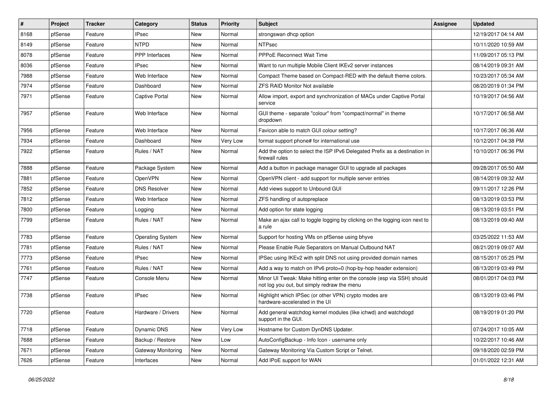| #    | Project | <b>Tracker</b> | Category                | <b>Status</b> | <b>Priority</b> | <b>Subject</b>                                                                                                        | <b>Assignee</b> | <b>Updated</b>      |
|------|---------|----------------|-------------------------|---------------|-----------------|-----------------------------------------------------------------------------------------------------------------------|-----------------|---------------------|
| 8168 | pfSense | Feature        | <b>IPsec</b>            | <b>New</b>    | Normal          | strongswan dhcp option                                                                                                |                 | 12/19/2017 04:14 AM |
| 8149 | pfSense | Feature        | <b>NTPD</b>             | <b>New</b>    | Normal          | <b>NTPsec</b>                                                                                                         |                 | 10/11/2020 10:59 AM |
| 8078 | pfSense | Feature        | <b>PPP</b> Interfaces   | New           | Normal          | PPPoE Reconnect Wait Time                                                                                             |                 | 11/09/2017 05:13 PM |
| 8036 | pfSense | Feature        | <b>IPsec</b>            | <b>New</b>    | Normal          | Want to run multiple Mobile Client IKEv2 server instances                                                             |                 | 08/14/2019 09:31 AM |
| 7988 | pfSense | Feature        | Web Interface           | <b>New</b>    | Normal          | Compact Theme based on Compact-RED with the default theme colors.                                                     |                 | 10/23/2017 05:34 AM |
| 7974 | pfSense | Feature        | Dashboard               | New           | Normal          | ZFS RAID Monitor Not available                                                                                        |                 | 08/20/2019 01:34 PM |
| 7971 | pfSense | Feature        | <b>Captive Portal</b>   | <b>New</b>    | Normal          | Allow import, export and synchronization of MACs under Captive Portal<br>service                                      |                 | 10/19/2017 04:56 AM |
| 7957 | pfSense | Feature        | Web Interface           | <b>New</b>    | Normal          | GUI theme - separate "colour" from "compact/normal" in theme<br>dropdown                                              |                 | 10/17/2017 06:58 AM |
| 7956 | pfSense | Feature        | Web Interface           | <b>New</b>    | Normal          | Favicon able to match GUI colour setting?                                                                             |                 | 10/17/2017 06:36 AM |
| 7934 | pfSense | Feature        | Dashboard               | <b>New</b>    | Very Low        | format support phone# for international use                                                                           |                 | 10/12/2017 04:38 PM |
| 7922 | pfSense | Feature        | Rules / NAT             | <b>New</b>    | Normal          | Add the option to select the ISP IPv6 Delegated Prefix as a destination in<br>firewall rules                          |                 | 10/10/2017 06:36 PM |
| 7888 | pfSense | Feature        | Package System          | <b>New</b>    | Normal          | Add a button in package manager GUI to upgrade all packages                                                           |                 | 09/28/2017 05:50 AM |
| 7881 | pfSense | Feature        | OpenVPN                 | <b>New</b>    | Normal          | OpenVPN client - add support for multiple server entries                                                              |                 | 08/14/2019 09:32 AM |
| 7852 | pfSense | Feature        | <b>DNS Resolver</b>     | <b>New</b>    | Normal          | Add views support to Unbound GUI                                                                                      |                 | 09/11/2017 12:26 PM |
| 7812 | pfSense | Feature        | Web Interface           | <b>New</b>    | Normal          | ZFS handling of autopreplace                                                                                          |                 | 08/13/2019 03:53 PM |
| 7800 | pfSense | Feature        | Logging                 | New           | Normal          | Add option for state logging                                                                                          |                 | 08/13/2019 03:51 PM |
| 7799 | pfSense | Feature        | Rules / NAT             | <b>New</b>    | Normal          | Make an ajax call to toggle logging by clicking on the logging icon next to<br>a rule                                 |                 | 08/13/2019 09:40 AM |
| 7783 | pfSense | Feature        | <b>Operating System</b> | New           | Normal          | Support for hosting VMs on pfSense using bhyve                                                                        |                 | 03/25/2022 11:53 AM |
| 7781 | pfSense | Feature        | Rules / NAT             | <b>New</b>    | Normal          | Please Enable Rule Separators on Manual Outbound NAT                                                                  |                 | 08/21/2019 09:07 AM |
| 7773 | pfSense | Feature        | <b>IPsec</b>            | <b>New</b>    | Normal          | IPSec using IKEv2 with split DNS not using provided domain names                                                      |                 | 08/15/2017 05:25 PM |
| 7761 | pfSense | Feature        | Rules / NAT             | <b>New</b>    | Normal          | Add a way to match on IPv6 proto=0 (hop-by-hop header extension)                                                      |                 | 08/13/2019 03:49 PM |
| 7747 | pfSense | Feature        | Console Menu            | <b>New</b>    | Normal          | Minor UI Tweak: Make hitting enter on the console (esp via SSH) should<br>not log you out, but simply redraw the menu |                 | 08/01/2017 04:03 PM |
| 7738 | pfSense | Feature        | <b>IPsec</b>            | <b>New</b>    | Normal          | Highlight which IPSec (or other VPN) crypto modes are<br>hardware-accelerated in the UI                               |                 | 08/13/2019 03:46 PM |
| 7720 | pfSense | Feature        | Hardware / Drivers      | New           | Normal          | Add general watchdog kernel modules (like ichwd) and watchdogd<br>support in the GUI.                                 |                 | 08/19/2019 01:20 PM |
| 7718 | pfSense | Feature        | Dynamic DNS             | New           | Very Low        | Hostname for Custom DynDNS Updater.                                                                                   |                 | 07/24/2017 10:05 AM |
| 7688 | pfSense | Feature        | Backup / Restore        | New           | Low             | AutoConfigBackup - Info Icon - username only                                                                          |                 | 10/22/2017 10:46 AM |
| 7671 | pfSense | Feature        | Gateway Monitoring      | New           | Normal          | Gateway Monitoring Via Custom Script or Telnet.                                                                       |                 | 09/18/2020 02:59 PM |
| 7626 | pfSense | Feature        | Interfaces              | New           | Normal          | Add IPoE support for WAN                                                                                              |                 | 01/01/2022 12:31 AM |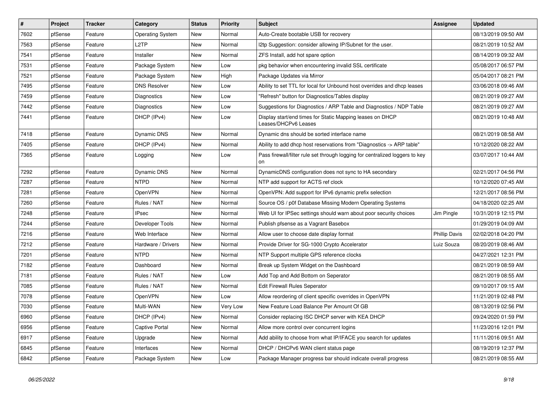| $\pmb{\#}$ | Project | <b>Tracker</b> | Category                | <b>Status</b> | <b>Priority</b> | <b>Subject</b>                                                                     | <b>Assignee</b>      | <b>Updated</b>      |
|------------|---------|----------------|-------------------------|---------------|-----------------|------------------------------------------------------------------------------------|----------------------|---------------------|
| 7602       | pfSense | Feature        | <b>Operating System</b> | <b>New</b>    | Normal          | Auto-Create bootable USB for recovery                                              |                      | 08/13/2019 09:50 AM |
| 7563       | pfSense | Feature        | L <sub>2</sub> TP       | <b>New</b>    | Normal          | I2tp Suggestion: consider allowing IP/Subnet for the user.                         |                      | 08/21/2019 10:52 AM |
| 7541       | pfSense | Feature        | Installer               | <b>New</b>    | Normal          | ZFS Install, add hot spare option                                                  |                      | 08/14/2019 09:32 AM |
| 7531       | pfSense | Feature        | Package System          | <b>New</b>    | Low             | pkg behavior when encountering invalid SSL certificate                             |                      | 05/08/2017 06:57 PM |
| 7521       | pfSense | Feature        | Package System          | <b>New</b>    | High            | Package Updates via Mirror                                                         |                      | 05/04/2017 08:21 PM |
| 7495       | pfSense | Feature        | <b>DNS Resolver</b>     | <b>New</b>    | Low             | Ability to set TTL for local for Unbound host overrides and dhcp leases            |                      | 03/06/2018 09:46 AM |
| 7459       | pfSense | Feature        | Diagnostics             | <b>New</b>    | Low             | 'Refresh" button for Diagnostics/Tables display                                    |                      | 08/21/2019 09:27 AM |
| 7442       | pfSense | Feature        | Diagnostics             | <b>New</b>    | Low             | Suggestions for Diagnostics / ARP Table and Diagnostics / NDP Table                |                      | 08/21/2019 09:27 AM |
| 7441       | pfSense | Feature        | DHCP (IPv4)             | <b>New</b>    | Low             | Display start/end times for Static Mapping leases on DHCP<br>Leases/DHCPv6 Leases  |                      | 08/21/2019 10:48 AM |
| 7418       | pfSense | Feature        | Dynamic DNS             | <b>New</b>    | Normal          | Dynamic dns should be sorted interface name                                        |                      | 08/21/2019 08:58 AM |
| 7405       | pfSense | Feature        | DHCP (IPv4)             | <b>New</b>    | Normal          | Ability to add dhcp host reservations from "Diagnostics -> ARP table"              |                      | 10/12/2020 08:22 AM |
| 7365       | pfSense | Feature        | Logging                 | <b>New</b>    | Low             | Pass firewall/filter rule set through logging for centralized loggers to key<br>on |                      | 03/07/2017 10:44 AM |
| 7292       | pfSense | Feature        | <b>Dynamic DNS</b>      | <b>New</b>    | Normal          | DynamicDNS configuration does not sync to HA secondary                             |                      | 02/21/2017 04:56 PM |
| 7287       | pfSense | Feature        | <b>NTPD</b>             | <b>New</b>    | Normal          | NTP add support for ACTS ref clock                                                 |                      | 10/12/2020 07:45 AM |
| 7281       | pfSense | Feature        | <b>OpenVPN</b>          | <b>New</b>    | Normal          | OpenVPN: Add support for IPv6 dynamic prefix selection                             |                      | 12/21/2017 08:56 PM |
| 7260       | pfSense | Feature        | Rules / NAT             | <b>New</b>    | Normal          | Source OS / p0f Database Missing Modern Operating Systems                          |                      | 04/18/2020 02:25 AM |
| 7248       | pfSense | Feature        | <b>IPsec</b>            | <b>New</b>    | Normal          | Web UI for IPSec settings should warn about poor security choices                  | Jim Pingle           | 10/31/2019 12:15 PM |
| 7244       | pfSense | Feature        | Developer Tools         | <b>New</b>    | Normal          | Publish pfsense as a Vagrant Basebox                                               |                      | 01/29/2019 04:09 AM |
| 7216       | pfSense | Feature        | Web Interface           | <b>New</b>    | Normal          | Allow user to choose date display format                                           | <b>Phillip Davis</b> | 02/02/2018 04:20 PM |
| 7212       | pfSense | Feature        | Hardware / Drivers      | <b>New</b>    | Normal          | Provide Driver for SG-1000 Crypto Accelerator                                      | Luiz Souza           | 08/20/2019 08:46 AM |
| 7201       | pfSense | Feature        | <b>NTPD</b>             | <b>New</b>    | Normal          | NTP Support multiple GPS reference clocks                                          |                      | 04/27/2021 12:31 PM |
| 7182       | pfSense | Feature        | Dashboard               | <b>New</b>    | Normal          | Break up System Widget on the Dashboard                                            |                      | 08/21/2019 08:59 AM |
| 7181       | pfSense | Feature        | Rules / NAT             | <b>New</b>    | Low             | Add Top and Add Bottom on Seperator                                                |                      | 08/21/2019 08:55 AM |
| 7085       | pfSense | Feature        | Rules / NAT             | <b>New</b>    | Normal          | <b>Edit Firewall Rules Seperator</b>                                               |                      | 09/10/2017 09:15 AM |
| 7078       | pfSense | Feature        | <b>OpenVPN</b>          | <b>New</b>    | Low             | Allow reordering of client specific overrides in OpenVPN                           |                      | 11/21/2019 02:48 PM |
| 7030       | pfSense | Feature        | Multi-WAN               | <b>New</b>    | Very Low        | New Feature Load Balance Per Amount Of GB                                          |                      | 08/13/2019 02:56 PM |
| 6960       | pfSense | Feature        | DHCP (IPv4)             | <b>New</b>    | Normal          | Consider replacing ISC DHCP server with KEA DHCP                                   |                      | 09/24/2020 01:59 PM |
| 6956       | pfSense | Feature        | Captive Portal          | <b>New</b>    | Normal          | Allow more control over concurrent logins                                          |                      | 11/23/2016 12:01 PM |
| 6917       | pfSense | Feature        | Upgrade                 | <b>New</b>    | Normal          | Add ability to choose from what IP/IFACE you search for updates                    |                      | 11/11/2016 09:51 AM |
| 6845       | pfSense | Feature        | Interfaces              | <b>New</b>    | Normal          | DHCP / DHCPv6 WAN client status page                                               |                      | 08/19/2019 12:37 PM |
| 6842       | pfSense | Feature        | Package System          | <b>New</b>    | Low             | Package Manager progress bar should indicate overall progress                      |                      | 08/21/2019 08:55 AM |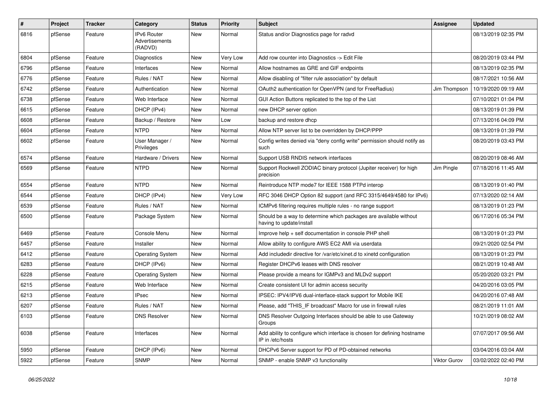| ∦    | Project | <b>Tracker</b> | Category                                               | <b>Status</b> | <b>Priority</b> | <b>Subject</b>                                                                                | <b>Assignee</b>     | <b>Updated</b>      |
|------|---------|----------------|--------------------------------------------------------|---------------|-----------------|-----------------------------------------------------------------------------------------------|---------------------|---------------------|
| 6816 | pfSense | Feature        | <b>IPv6 Router</b><br><b>Advertisements</b><br>(RADVD) | New           | Normal          | Status and/or Diagnostics page for radvd                                                      |                     | 08/13/2019 02:35 PM |
| 6804 | pfSense | Feature        | <b>Diagnostics</b>                                     | New           | Very Low        | Add row counter into Diagnostics -> Edit File                                                 |                     | 08/20/2019 03:44 PM |
| 6796 | pfSense | Feature        | Interfaces                                             | New           | Normal          | Allow hostnames as GRE and GIF endpoints                                                      |                     | 08/13/2019 02:35 PM |
| 6776 | pfSense | Feature        | Rules / NAT                                            | New           | Normal          | Allow disabling of "filter rule association" by default                                       |                     | 08/17/2021 10:56 AM |
| 6742 | pfSense | Feature        | Authentication                                         | New           | Normal          | OAuth2 authentication for OpenVPN (and for FreeRadius)                                        | Jim Thompson        | 10/19/2020 09:19 AM |
| 6738 | pfSense | Feature        | Web Interface                                          | <b>New</b>    | Normal          | GUI Action Buttons replicated to the top of the List                                          |                     | 07/10/2021 01:04 PM |
| 6615 | pfSense | Feature        | DHCP (IPv4)                                            | New           | Normal          | new DHCP server option                                                                        |                     | 08/13/2019 01:39 PM |
| 6608 | pfSense | Feature        | Backup / Restore                                       | <b>New</b>    | Low             | backup and restore dhcp                                                                       |                     | 07/13/2016 04:09 PM |
| 6604 | pfSense | Feature        | <b>NTPD</b>                                            | New           | Normal          | Allow NTP server list to be overridden by DHCP/PPP                                            |                     | 08/13/2019 01:39 PM |
| 6602 | pfSense | Feature        | User Manager /<br>Privileges                           | New           | Normal          | Config writes denied via "deny config write" permission should notify as<br>such              |                     | 08/20/2019 03:43 PM |
| 6574 | pfSense | Feature        | Hardware / Drivers                                     | <b>New</b>    | Normal          | Support USB RNDIS network interfaces                                                          |                     | 08/20/2019 08:46 AM |
| 6569 | pfSense | Feature        | <b>NTPD</b>                                            | New           | Normal          | Support Rockwell ZODIAC binary protocol (Jupiter receiver) for high<br>precision              | Jim Pingle          | 07/18/2016 11:45 AM |
| 6554 | pfSense | Feature        | <b>NTPD</b>                                            | New           | Normal          | Reintroduce NTP mode7 for IEEE 1588 PTPd interop                                              |                     | 08/13/2019 01:40 PM |
| 6544 | pfSense | Feature        | DHCP (IPv4)                                            | <b>New</b>    | Very Low        | RFC 3046 DHCP Option 82 support (and RFC 3315/4649/4580 for IPv6)                             |                     | 07/13/2020 02:14 AM |
| 6539 | pfSense | Feature        | Rules / NAT                                            | New           | Normal          | ICMPv6 filtering requires multiple rules - no range support                                   |                     | 08/13/2019 01:23 PM |
| 6500 | pfSense | Feature        | Package System                                         | <b>New</b>    | Normal          | Should be a way to determine which packages are available without<br>having to update/install |                     | 06/17/2016 05:34 PM |
| 6469 | pfSense | Feature        | Console Menu                                           | New           | Normal          | Improve help + self documentation in console PHP shell                                        |                     | 08/13/2019 01:23 PM |
| 6457 | pfSense | Feature        | Installer                                              | New           | Normal          | Allow ability to configure AWS EC2 AMI via userdata                                           |                     | 09/21/2020 02:54 PM |
| 6412 | pfSense | Feature        | <b>Operating System</b>                                | New           | Normal          | Add includedir directive for /var/etc/xinet.d to xinetd configuration                         |                     | 08/13/2019 01:23 PM |
| 6283 | pfSense | Feature        | DHCP (IPv6)                                            | New           | Normal          | Register DHCPv6 leases with DNS resolver                                                      |                     | 08/21/2019 10:48 AM |
| 6228 | pfSense | Feature        | <b>Operating System</b>                                | New           | Normal          | Please provide a means for IGMPv3 and MLDv2 support                                           |                     | 05/20/2020 03:21 PM |
| 6215 | pfSense | Feature        | Web Interface                                          | <b>New</b>    | Normal          | Create consistent UI for admin access security                                                |                     | 04/20/2016 03:05 PM |
| 6213 | pfSense | Feature        | <b>IPsec</b>                                           | New           | Normal          | IPSEC: IPV4/IPV6 dual-interface-stack support for Mobile IKE                                  |                     | 04/20/2016 07:48 AM |
| 6207 | pfSense | Feature        | Rules / NAT                                            | <b>New</b>    | Normal          | Please, add "THIS IF broadcast" Macro for use in firewall rules                               |                     | 08/21/2019 11:01 AM |
| 6103 | ptSense | Feature        | <b>DNS Resolver</b>                                    | <b>New</b>    | Normal          | DNS Resolver Outgoing Interfaces should be able to use Gateway<br>Groups                      |                     | 10/21/2019 08:02 AM |
| 6038 | pfSense | Feature        | Interfaces                                             | New           | Normal          | Add ability to configure which interface is chosen for defining hostname<br>IP in /etc/hosts  |                     | 07/07/2017 09:56 AM |
| 5950 | pfSense | Feature        | DHCP (IPv6)                                            | New           | Normal          | DHCPv6 Server support for PD of PD-obtained networks                                          |                     | 03/04/2016 03:04 AM |
| 5922 | pfSense | Feature        | <b>SNMP</b>                                            | New           | Normal          | SNMP - enable SNMP v3 functionality                                                           | <b>Viktor Gurov</b> | 03/02/2022 02:40 PM |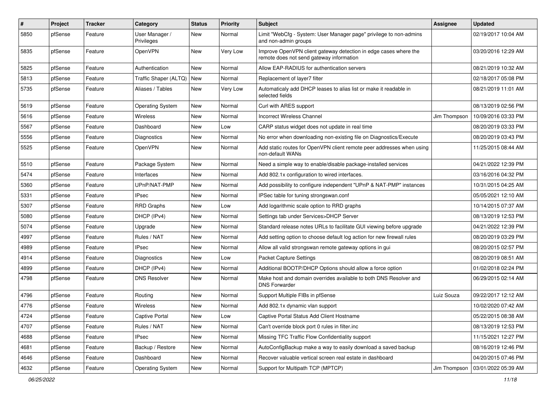| #    | Project | <b>Tracker</b> | Category                     | <b>Status</b> | <b>Priority</b> | Subject                                                                                                      | <b>Assignee</b> | <b>Updated</b>      |
|------|---------|----------------|------------------------------|---------------|-----------------|--------------------------------------------------------------------------------------------------------------|-----------------|---------------------|
| 5850 | pfSense | Feature        | User Manager /<br>Privileges | <b>New</b>    | Normal          | Limit "WebCfg - System: User Manager page" privilege to non-admins<br>and non-admin groups                   |                 | 02/19/2017 10:04 AM |
| 5835 | pfSense | Feature        | <b>OpenVPN</b>               | <b>New</b>    | Very Low        | Improve OpenVPN client gateway detection in edge cases where the<br>remote does not send gateway information |                 | 03/20/2016 12:29 AM |
| 5825 | pfSense | Feature        | Authentication               | <b>New</b>    | Normal          | Allow EAP-RADIUS for authentication servers                                                                  |                 | 08/21/2019 10:32 AM |
| 5813 | pfSense | Feature        | Traffic Shaper (ALTQ)        | <b>New</b>    | Normal          | Replacement of layer7 filter                                                                                 |                 | 02/18/2017 05:08 PM |
| 5735 | pfSense | Feature        | Aliases / Tables             | <b>New</b>    | Very Low        | Automaticaly add DHCP leases to alias list or make it readable in<br>selected fields                         |                 | 08/21/2019 11:01 AM |
| 5619 | pfSense | Feature        | <b>Operating System</b>      | New           | Normal          | Curl with ARES support                                                                                       |                 | 08/13/2019 02:56 PM |
| 5616 | pfSense | Feature        | Wireless                     | <b>New</b>    | Normal          | <b>Incorrect Wireless Channel</b>                                                                            | Jim Thompson    | 10/09/2016 03:33 PM |
| 5567 | pfSense | Feature        | Dashboard                    | <b>New</b>    | Low             | CARP status widget does not update in real time                                                              |                 | 08/20/2019 03:33 PM |
| 5556 | pfSense | Feature        | Diagnostics                  | <b>New</b>    | Normal          | No error when downloading non-existing file on Diagnostics/Execute                                           |                 | 08/20/2019 03:43 PM |
| 5525 | pfSense | Feature        | <b>OpenVPN</b>               | <b>New</b>    | Normal          | Add static routes for OpenVPN client remote peer addresses when using<br>non-default WANs                    |                 | 11/25/2015 08:44 AM |
| 5510 | pfSense | Feature        | Package System               | <b>New</b>    | Normal          | Need a simple way to enable/disable package-installed services                                               |                 | 04/21/2022 12:39 PM |
| 5474 | pfSense | Feature        | Interfaces                   | <b>New</b>    | Normal          | Add 802.1x configuration to wired interfaces.                                                                |                 | 03/16/2016 04:32 PM |
| 5360 | pfSense | Feature        | UPnP/NAT-PMP                 | <b>New</b>    | Normal          | Add possibility to configure independent "UPnP & NAT-PMP" instances                                          |                 | 10/31/2015 04:25 AM |
| 5331 | pfSense | Feature        | <b>IPsec</b>                 | <b>New</b>    | Normal          | IPSec table for tuning strongswan.conf                                                                       |                 | 05/05/2021 12:10 AM |
| 5307 | pfSense | Feature        | <b>RRD Graphs</b>            | <b>New</b>    | Low             | Add logarithmic scale option to RRD graphs                                                                   |                 | 10/14/2015 07:37 AM |
| 5080 | pfSense | Feature        | DHCP (IPv4)                  | <b>New</b>    | Normal          | Settings tab under Services>DHCP Server                                                                      |                 | 08/13/2019 12:53 PM |
| 5074 | pfSense | Feature        | Upgrade                      | <b>New</b>    | Normal          | Standard release notes URLs to facilitate GUI viewing before upgrade                                         |                 | 04/21/2022 12:39 PM |
| 4997 | pfSense | Feature        | Rules / NAT                  | <b>New</b>    | Normal          | Add setting option to choose default log action for new firewall rules                                       |                 | 08/20/2019 03:29 PM |
| 4989 | pfSense | Feature        | <b>IPsec</b>                 | <b>New</b>    | Normal          | Allow all valid strongswan remote gateway options in gui                                                     |                 | 08/20/2015 02:57 PM |
| 4914 | pfSense | Feature        | Diagnostics                  | <b>New</b>    | Low             | <b>Packet Capture Settings</b>                                                                               |                 | 08/20/2019 08:51 AM |
| 4899 | pfSense | Feature        | DHCP (IPv4)                  | <b>New</b>    | Normal          | Additional BOOTP/DHCP Options should allow a force option                                                    |                 | 01/02/2018 02:24 PM |
| 4798 | pfSense | Feature        | <b>DNS Resolver</b>          | <b>New</b>    | Normal          | Make host and domain overrides available to both DNS Resolver and<br><b>DNS Forwarder</b>                    |                 | 06/29/2015 02:14 AM |
| 4796 | pfSense | Feature        | Routing                      | <b>New</b>    | Normal          | Support Multiple FIBs in pfSense                                                                             | Luiz Souza      | 09/22/2017 12:12 AM |
| 4776 | pfSense | Feature        | <b>Wireless</b>              | <b>New</b>    | Normal          | Add 802.1x dynamic vlan support                                                                              |                 | 10/02/2020 07:42 AM |
| 4724 | pfSense | Feature        | Captive Portal               | New           | Low             | Captive Portal Status Add Client Hostname                                                                    |                 | 05/22/2015 08:38 AM |
| 4707 | pfSense | Feature        | Rules / NAT                  | New           | Normal          | Can't override block port 0 rules in filter.inc                                                              |                 | 08/13/2019 12:53 PM |
| 4688 | pfSense | Feature        | <b>IPsec</b>                 | New           | Normal          | Missing TFC Traffic Flow Confidentiality support                                                             |                 | 11/15/2021 12:27 PM |
| 4681 | pfSense | Feature        | Backup / Restore             | New           | Normal          | AutoConfigBackup make a way to easily download a saved backup                                                |                 | 08/16/2019 12:46 PM |
| 4646 | pfSense | Feature        | Dashboard                    | New           | Normal          | Recover valuable vertical screen real estate in dashboard                                                    |                 | 04/20/2015 07:46 PM |
| 4632 | pfSense | Feature        | <b>Operating System</b>      | New           | Normal          | Support for Multipath TCP (MPTCP)                                                                            | Jim Thompson    | 03/01/2022 05:39 AM |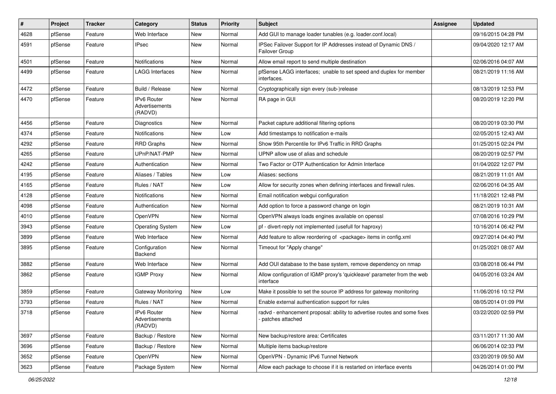| #    | Project | <b>Tracker</b> | Category                                 | <b>Status</b> | <b>Priority</b> | <b>Subject</b>                                                                               | <b>Assignee</b> | <b>Updated</b>      |
|------|---------|----------------|------------------------------------------|---------------|-----------------|----------------------------------------------------------------------------------------------|-----------------|---------------------|
| 4628 | pfSense | Feature        | Web Interface                            | <b>New</b>    | Normal          | Add GUI to manage loader tunables (e.g. loader.conf.local)                                   |                 | 09/16/2015 04:28 PM |
| 4591 | pfSense | Feature        | <b>IPsec</b>                             | <b>New</b>    | Normal          | IPSec Failover Support for IP Addresses instead of Dynamic DNS /<br>Failover Group           |                 | 09/04/2020 12:17 AM |
| 4501 | pfSense | Feature        | Notifications                            | <b>New</b>    | Normal          | Allow email report to send multiple destination                                              |                 | 02/06/2016 04:07 AM |
| 4499 | pfSense | Feature        | <b>LAGG Interfaces</b>                   | <b>New</b>    | Normal          | pfSense LAGG interfaces; unable to set speed and duplex for member<br>interfaces.            |                 | 08/21/2019 11:16 AM |
| 4472 | pfSense | Feature        | Build / Release                          | <b>New</b>    | Normal          | Cryptographically sign every (sub-)release                                                   |                 | 08/13/2019 12:53 PM |
| 4470 | pfSense | Feature        | IPv6 Router<br>Advertisements<br>(RADVD) | <b>New</b>    | Normal          | RA page in GUI                                                                               |                 | 08/20/2019 12:20 PM |
| 4456 | pfSense | Feature        | Diagnostics                              | New           | Normal          | Packet capture additional filtering options                                                  |                 | 08/20/2019 03:30 PM |
| 4374 | pfSense | Feature        | Notifications                            | <b>New</b>    | Low             | Add timestamps to notification e-mails                                                       |                 | 02/05/2015 12:43 AM |
| 4292 | pfSense | Feature        | <b>RRD Graphs</b>                        | <b>New</b>    | Normal          | Show 95th Percentile for IPv6 Traffic in RRD Graphs                                          |                 | 01/25/2015 02:24 PM |
| 4265 | pfSense | Feature        | UPnP/NAT-PMP                             | <b>New</b>    | Normal          | UPNP allow use of alias and schedule                                                         |                 | 08/20/2019 02:57 PM |
| 4242 | pfSense | Feature        | Authentication                           | New           | Normal          | Two Factor or OTP Authentication for Admin Interface                                         |                 | 01/04/2022 12:07 PM |
| 4195 | pfSense | Feature        | Aliases / Tables                         | <b>New</b>    | Low             | Aliases: sections                                                                            |                 | 08/21/2019 11:01 AM |
| 4165 | pfSense | Feature        | Rules / NAT                              | <b>New</b>    | Low             | Allow for security zones when defining interfaces and firewall rules.                        |                 | 02/06/2016 04:35 AM |
| 4128 | pfSense | Feature        | Notifications                            | <b>New</b>    | Normal          | Email notification webgui configuration                                                      |                 | 11/18/2021 12:48 PM |
| 4098 | pfSense | Feature        | Authentication                           | New           | Normal          | Add option to force a password change on login                                               |                 | 08/21/2019 10:31 AM |
| 4010 | pfSense | Feature        | <b>OpenVPN</b>                           | <b>New</b>    | Normal          | OpenVPN always loads engines available on openssl                                            |                 | 07/08/2016 10:29 PM |
| 3943 | pfSense | Feature        | <b>Operating System</b>                  | <b>New</b>    | Low             | pf - divert-reply not implemented (usefull for haproxy)                                      |                 | 10/16/2014 06:42 PM |
| 3899 | pfSense | Feature        | Web Interface                            | <b>New</b>    | Normal          | Add feature to allow reordering of <package> items in config.xml</package>                   |                 | 09/27/2014 04:40 PM |
| 3895 | pfSense | Feature        | Configuration<br>Backend                 | <b>New</b>    | Normal          | Timeout for "Apply change"                                                                   |                 | 01/25/2021 08:07 AM |
| 3882 | pfSense | Feature        | Web Interface                            | <b>New</b>    | Normal          | Add OUI database to the base system, remove dependency on nmap                               |                 | 03/08/2018 06:44 PM |
| 3862 | pfSense | Feature        | <b>IGMP Proxy</b>                        | <b>New</b>    | Normal          | Allow configuration of IGMP proxy's 'quickleave' parameter from the web<br>interface         |                 | 04/05/2016 03:24 AM |
| 3859 | pfSense | Feature        | Gateway Monitoring                       | New           | Low             | Make it possible to set the source IP address for gateway monitoring                         |                 | 11/06/2016 10:12 PM |
| 3793 | pfSense | Feature        | Rules / NAT                              | <b>New</b>    | Normal          | Enable external authentication support for rules                                             |                 | 08/05/2014 01:09 PM |
| 3718 | pfSense | Feature        | IPv6 Router<br>Advertisements<br>(RADVD) | <b>New</b>    | Normal          | radyd - enhancement proposal: ability to advertise routes and some fixes<br>patches attached |                 | 03/22/2020 02:59 PM |
| 3697 | pfSense | Feature        | Backup / Restore                         | New           | Normal          | New backup/restore area: Certificates                                                        |                 | 03/11/2017 11:30 AM |
| 3696 | pfSense | Feature        | Backup / Restore                         | New           | Normal          | Multiple items backup/restore                                                                |                 | 06/06/2014 02:33 PM |
| 3652 | pfSense | Feature        | OpenVPN                                  | New           | Normal          | OpenVPN - Dynamic IPv6 Tunnel Network                                                        |                 | 03/20/2019 09:50 AM |
| 3623 | pfSense | Feature        | Package System                           | New           | Normal          | Allow each package to choose if it is restarted on interface events                          |                 | 04/26/2014 01:00 PM |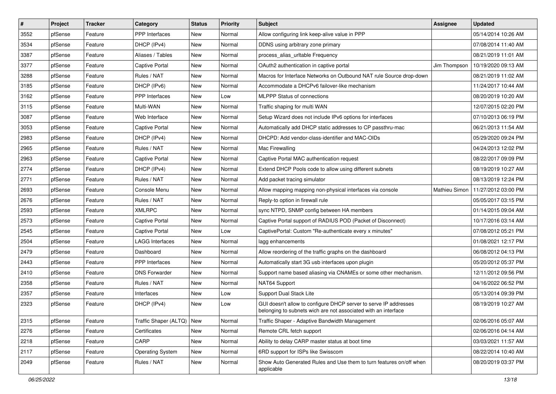| $\vert$ # | Project | <b>Tracker</b> | Category                | <b>Status</b> | <b>Priority</b> | Subject                                                                                                                            | Assignee      | <b>Updated</b>      |
|-----------|---------|----------------|-------------------------|---------------|-----------------|------------------------------------------------------------------------------------------------------------------------------------|---------------|---------------------|
| 3552      | pfSense | Feature        | PPP Interfaces          | New           | Normal          | Allow configuring link keep-alive value in PPP                                                                                     |               | 05/14/2014 10:26 AM |
| 3534      | pfSense | Feature        | DHCP (IPv4)             | <b>New</b>    | Normal          | DDNS using arbitrary zone primary                                                                                                  |               | 07/08/2014 11:40 AM |
| 3387      | pfSense | Feature        | Aliases / Tables        | New           | Normal          | process alias urltable Frequency                                                                                                   |               | 08/21/2019 11:01 AM |
| 3377      | pfSense | Feature        | Captive Portal          | New           | Normal          | OAuth2 authentication in captive portal                                                                                            | Jim Thompson  | 10/19/2020 09:13 AM |
| 3288      | pfSense | Feature        | Rules / NAT             | <b>New</b>    | Normal          | Macros for Interface Networks on Outbound NAT rule Source drop-down                                                                |               | 08/21/2019 11:02 AM |
| 3185      | pfSense | Feature        | DHCP (IPv6)             | New           | Normal          | Accommodate a DHCPv6 failover-like mechanism                                                                                       |               | 11/24/2017 10:44 AM |
| 3162      | pfSense | Feature        | <b>PPP</b> Interfaces   | New           | Low             | <b>MLPPP Status of connections</b>                                                                                                 |               | 08/20/2019 10:20 AM |
| 3115      | pfSense | Feature        | Multi-WAN               | New           | Normal          | Traffic shaping for multi WAN                                                                                                      |               | 12/07/2015 02:20 PM |
| 3087      | pfSense | Feature        | Web Interface           | New           | Normal          | Setup Wizard does not include IPv6 options for interfaces                                                                          |               | 07/10/2013 06:19 PM |
| 3053      | pfSense | Feature        | Captive Portal          | New           | Normal          | Automatically add DHCP static addresses to CP passthru-mac                                                                         |               | 06/21/2013 11:54 AM |
| 2983      | pfSense | Feature        | DHCP (IPv4)             | New           | Normal          | DHCPD: Add vendor-class-identifier and MAC-OIDs                                                                                    |               | 05/29/2020 09:24 PM |
| 2965      | pfSense | Feature        | Rules / NAT             | New           | Normal          | Mac Firewalling                                                                                                                    |               | 04/24/2013 12:02 PM |
| 2963      | pfSense | Feature        | Captive Portal          | New           | Normal          | Captive Portal MAC authentication request                                                                                          |               | 08/22/2017 09:09 PM |
| 2774      | pfSense | Feature        | DHCP (IPv4)             | New           | Normal          | Extend DHCP Pools code to allow using different subnets                                                                            |               | 08/19/2019 10:27 AM |
| 2771      | pfSense | Feature        | Rules / NAT             | <b>New</b>    | Normal          | Add packet tracing simulator                                                                                                       |               | 08/13/2019 12:24 PM |
| 2693      | pfSense | Feature        | Console Menu            | New           | Normal          | Allow mapping mapping non-physical interfaces via console                                                                          | Mathieu Simon | 11/27/2012 03:00 PM |
| 2676      | pfSense | Feature        | Rules / NAT             | New           | Normal          | Reply-to option in firewall rule                                                                                                   |               | 05/05/2017 03:15 PM |
| 2593      | pfSense | Feature        | <b>XMLRPC</b>           | <b>New</b>    | Normal          | sync NTPD, SNMP config between HA members                                                                                          |               | 01/14/2015 09:04 AM |
| 2573      | pfSense | Feature        | Captive Portal          | New           | Normal          | Captive Portal support of RADIUS POD (Packet of Disconnect)                                                                        |               | 10/17/2016 03:14 AM |
| 2545      | pfSense | Feature        | Captive Portal          | <b>New</b>    | Low             | CaptivePortal: Custom "Re-authenticate every x minutes"                                                                            |               | 07/08/2012 05:21 PM |
| 2504      | pfSense | Feature        | <b>LAGG Interfaces</b>  | New           | Normal          | lagg enhancements                                                                                                                  |               | 01/08/2021 12:17 PM |
| 2479      | pfSense | Feature        | Dashboard               | New           | Normal          | Allow reordering of the traffic graphs on the dashboard                                                                            |               | 06/08/2012 04:13 PM |
| 2443      | pfSense | Feature        | <b>PPP</b> Interfaces   | <b>New</b>    | Normal          | Automatically start 3G usb interfaces upon plugin                                                                                  |               | 05/20/2012 05:37 PM |
| 2410      | pfSense | Feature        | <b>DNS Forwarder</b>    | New           | Normal          | Support name based aliasing via CNAMEs or some other mechanism.                                                                    |               | 12/11/2012 09:56 PM |
| 2358      | pfSense | Feature        | Rules / NAT             | New           | Normal          | NAT64 Support                                                                                                                      |               | 04/16/2022 06:52 PM |
| 2357      | pfSense | Feature        | Interfaces              | New           | Low             | Support Dual Stack Lite                                                                                                            |               | 05/13/2014 09:39 PM |
| 2323      | pfSense | Feature        | DHCP (IPv4)             | New           | Low             | GUI doesn't allow to configure DHCP server to serve IP addresses<br>belonging to subnets wich are not associated with an interface |               | 08/19/2019 10:27 AM |
| 2315      | pfSense | Feature        | Traffic Shaper (ALTQ)   | New           | Normal          | Traffic Shaper - Adaptive Bandwidth Management                                                                                     |               | 02/06/2016 05:07 AM |
| 2276      | pfSense | Feature        | Certificates            | New           | Normal          | Remote CRL fetch support                                                                                                           |               | 02/06/2016 04:14 AM |
| 2218      | pfSense | Feature        | CARP                    | New           | Normal          | Ability to delay CARP master status at boot time                                                                                   |               | 03/03/2021 11:57 AM |
| 2117      | pfSense | Feature        | <b>Operating System</b> | New           | Normal          | 6RD support for ISPs like Swisscom                                                                                                 |               | 08/22/2014 10:40 AM |
| 2049      | pfSense | Feature        | Rules / NAT             | New           | Normal          | Show Auto Generated Rules and Use them to turn features on/off when<br>applicable                                                  |               | 08/20/2019 03:37 PM |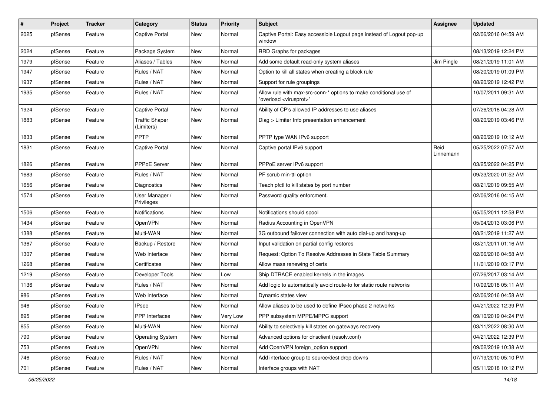| #    | Project | <b>Tracker</b> | Category                            | <b>Status</b> | <b>Priority</b> | Subject                                                                                                 | <b>Assignee</b>   | <b>Updated</b>      |
|------|---------|----------------|-------------------------------------|---------------|-----------------|---------------------------------------------------------------------------------------------------------|-------------------|---------------------|
| 2025 | pfSense | Feature        | Captive Portal                      | <b>New</b>    | Normal          | Captive Portal: Easy accessible Logout page instead of Logout pop-up<br>window                          |                   | 02/06/2016 04:59 AM |
| 2024 | pfSense | Feature        | Package System                      | <b>New</b>    | Normal          | RRD Graphs for packages                                                                                 |                   | 08/13/2019 12:24 PM |
| 1979 | pfSense | Feature        | Aliases / Tables                    | <b>New</b>    | Normal          | Add some default read-only system aliases                                                               | Jim Pingle        | 08/21/2019 11:01 AM |
| 1947 | pfSense | Feature        | Rules / NAT                         | <b>New</b>    | Normal          | Option to kill all states when creating a block rule                                                    |                   | 08/20/2019 01:09 PM |
| 1937 | pfSense | Feature        | Rules / NAT                         | <b>New</b>    | Normal          | Support for rule groupings                                                                              |                   | 08/20/2019 12:42 PM |
| 1935 | pfSense | Feature        | Rules / NAT                         | <b>New</b>    | Normal          | Allow rule with max-src-conn-* options to make conditional use of<br>"overload <virusprot>"</virusprot> |                   | 10/07/2011 09:31 AM |
| 1924 | pfSense | Feature        | Captive Portal                      | <b>New</b>    | Normal          | Ability of CP's allowed IP addresses to use aliases                                                     |                   | 07/26/2018 04:28 AM |
| 1883 | pfSense | Feature        | <b>Traffic Shaper</b><br>(Limiters) | <b>New</b>    | Normal          | Diag > Limiter Info presentation enhancement                                                            |                   | 08/20/2019 03:46 PM |
| 1833 | pfSense | Feature        | PPTP                                | <b>New</b>    | Normal          | PPTP type WAN IPv6 support                                                                              |                   | 08/20/2019 10:12 AM |
| 1831 | pfSense | Feature        | <b>Captive Portal</b>               | <b>New</b>    | Normal          | Captive portal IPv6 support                                                                             | Reid<br>Linnemann | 05/25/2022 07:57 AM |
| 1826 | pfSense | Feature        | <b>PPPoE Server</b>                 | <b>New</b>    | Normal          | PPPoE server IPv6 support                                                                               |                   | 03/25/2022 04:25 PM |
| 1683 | pfSense | Feature        | Rules / NAT                         | <b>New</b>    | Normal          | PF scrub min-ttl option                                                                                 |                   | 09/23/2020 01:52 AM |
| 1656 | pfSense | Feature        | Diagnostics                         | <b>New</b>    | Normal          | Teach pfctl to kill states by port number                                                               |                   | 08/21/2019 09:55 AM |
| 1574 | pfSense | Feature        | User Manager /<br>Privileges        | <b>New</b>    | Normal          | Password quality enforcment.                                                                            |                   | 02/06/2016 04:15 AM |
| 1506 | pfSense | Feature        | Notifications                       | <b>New</b>    | Normal          | Notifications should spool                                                                              |                   | 05/05/2011 12:58 PM |
| 1434 | pfSense | Feature        | <b>OpenVPN</b>                      | <b>New</b>    | Normal          | Radius Accounting in OpenVPN                                                                            |                   | 05/04/2013 03:06 PM |
| 1388 | pfSense | Feature        | Multi-WAN                           | <b>New</b>    | Normal          | 3G outbound failover connection with auto dial-up and hang-up                                           |                   | 08/21/2019 11:27 AM |
| 1367 | pfSense | Feature        | Backup / Restore                    | <b>New</b>    | Normal          | Input validation on partial config restores                                                             |                   | 03/21/2011 01:16 AM |
| 1307 | pfSense | Feature        | Web Interface                       | <b>New</b>    | Normal          | Request: Option To Resolve Addresses in State Table Summary                                             |                   | 02/06/2016 04:58 AM |
| 1268 | pfSense | Feature        | Certificates                        | <b>New</b>    | Normal          | Allow mass renewing of certs                                                                            |                   | 11/01/2019 03:17 PM |
| 1219 | pfSense | Feature        | Developer Tools                     | <b>New</b>    | Low             | Ship DTRACE enabled kernels in the images                                                               |                   | 07/26/2017 03:14 AM |
| 1136 | pfSense | Feature        | Rules / NAT                         | <b>New</b>    | Normal          | Add logic to automatically avoid route-to for static route networks                                     |                   | 10/09/2018 05:11 AM |
| 986  | pfSense | Feature        | Web Interface                       | <b>New</b>    | Normal          | Dynamic states view                                                                                     |                   | 02/06/2016 04:58 AM |
| 946  | pfSense | Feature        | <b>IPsec</b>                        | <b>New</b>    | Normal          | Allow aliases to be used to define IPsec phase 2 networks                                               |                   | 04/21/2022 12:39 PM |
| 895  | pfSense | Feature        | PPP Interfaces                      | New           | Very Low        | PPP subsystem MPPE/MPPC support                                                                         |                   | 09/10/2019 04:24 PM |
| 855  | pfSense | Feature        | Multi-WAN                           | New           | Normal          | Ability to selectively kill states on gateways recovery                                                 |                   | 03/11/2022 08:30 AM |
| 790  | pfSense | Feature        | <b>Operating System</b>             | New           | Normal          | Advanced options for dnsclient (resolv.conf)                                                            |                   | 04/21/2022 12:39 PM |
| 753  | pfSense | Feature        | OpenVPN                             | New           | Normal          | Add OpenVPN foreign_option support                                                                      |                   | 09/02/2019 10:38 AM |
| 746  | pfSense | Feature        | Rules / NAT                         | New           | Normal          | Add interface group to source/dest drop downs                                                           |                   | 07/19/2010 05:10 PM |
| 701  | pfSense | Feature        | Rules / NAT                         | New           | Normal          | Interface groups with NAT                                                                               |                   | 05/11/2018 10:12 PM |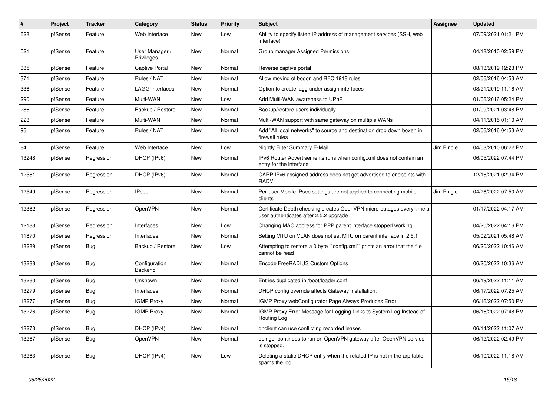| $\#$  | Project | <b>Tracker</b> | Category                     | <b>Status</b> | <b>Priority</b> | <b>Subject</b>                                                                                                  | <b>Assignee</b> | <b>Updated</b>      |
|-------|---------|----------------|------------------------------|---------------|-----------------|-----------------------------------------------------------------------------------------------------------------|-----------------|---------------------|
| 628   | pfSense | Feature        | Web Interface                | <b>New</b>    | Low             | Ability to specify listen IP address of management services (SSH, web<br>interface)                             |                 | 07/09/2021 01:21 PM |
| 521   | pfSense | Feature        | User Manager /<br>Privileges | New           | Normal          | Group manager Assigned Permissions                                                                              |                 | 04/18/2010 02:59 PM |
| 385   | pfSense | Feature        | Captive Portal               | <b>New</b>    | Normal          | Reverse captive portal                                                                                          |                 | 08/13/2019 12:23 PM |
| 371   | pfSense | Feature        | Rules / NAT                  | <b>New</b>    | Normal          | Allow moving of bogon and RFC 1918 rules                                                                        |                 | 02/06/2016 04:53 AM |
| 336   | pfSense | Feature        | LAGG Interfaces              | <b>New</b>    | Normal          | Option to create lagg under assign interfaces                                                                   |                 | 08/21/2019 11:16 AM |
| 290   | pfSense | Feature        | Multi-WAN                    | <b>New</b>    | Low             | Add Multi-WAN awareness to UPnP                                                                                 |                 | 01/06/2016 05:24 PM |
| 286   | pfSense | Feature        | Backup / Restore             | <b>New</b>    | Normal          | Backup/restore users individually                                                                               |                 | 01/09/2021 03:48 PM |
| 228   | pfSense | Feature        | Multi-WAN                    | <b>New</b>    | Normal          | Multi-WAN support with same gateway on multiple WANs                                                            |                 | 04/11/2015 01:10 AM |
| 96    | pfSense | Feature        | Rules / NAT                  | <b>New</b>    | Normal          | Add "All local networks" to source and destination drop down boxen in<br>firewall rules                         |                 | 02/06/2016 04:53 AM |
| 84    | pfSense | Feature        | Web Interface                | <b>New</b>    | Low             | Nightly Filter Summary E-Mail                                                                                   | Jim Pingle      | 04/03/2010 06:22 PM |
| 13248 | pfSense | Regression     | DHCP (IPv6)                  | <b>New</b>    | Normal          | IPv6 Router Advertisements runs when config.xml does not contain an<br>entry for the interface                  |                 | 06/05/2022 07:44 PM |
| 12581 | pfSense | Regression     | DHCP (IPv6)                  | <b>New</b>    | Normal          | CARP IPv6 assigned address does not get advertised to endpoints with<br>RADV                                    |                 | 12/16/2021 02:34 PM |
| 12549 | pfSense | Regression     | IPsec                        | <b>New</b>    | Normal          | Per-user Mobile IPsec settings are not applied to connecting mobile<br>clients                                  | Jim Pingle      | 04/26/2022 07:50 AM |
| 12382 | pfSense | Regression     | <b>OpenVPN</b>               | <b>New</b>    | Normal          | Certificate Depth checking creates OpenVPN micro-outages every time a<br>user authenticates after 2.5.2 upgrade |                 | 01/17/2022 04:17 AM |
| 12183 | pfSense | Regression     | Interfaces                   | New           | Low             | Changing MAC address for PPP parent interface stopped working                                                   |                 | 04/20/2022 04:16 PM |
| 11870 | pfSense | Regression     | Interfaces                   | <b>New</b>    | Normal          | Setting MTU on VLAN does not set MTU on parent interface in 2.5.1                                               |                 | 05/02/2021 05:48 AM |
| 13289 | pfSense | <b>Bug</b>     | Backup / Restore             | <b>New</b>    | Low             | Attempting to restore a 0 byte "config.xml" prints an error that the file<br>cannot be read                     |                 | 06/20/2022 10:46 AM |
| 13288 | pfSense | <b>Bug</b>     | Configuration<br>Backend     | New           | Normal          | Encode FreeRADIUS Custom Options                                                                                |                 | 06/20/2022 10:36 AM |
| 13280 | pfSense | <b>Bug</b>     | Unknown                      | <b>New</b>    | Normal          | Entries duplicated in /boot/loader.conf                                                                         |                 | 06/19/2022 11:11 AM |
| 13279 | pfSense | <b>Bug</b>     | Interfaces                   | <b>New</b>    | Normal          | DHCP config override affects Gateway installation.                                                              |                 | 06/17/2022 07:25 AM |
| 13277 | pfSense | <b>Bug</b>     | <b>IGMP Proxy</b>            | New           | Normal          | IGMP Proxy webConfigurator Page Always Produces Error                                                           |                 | 06/16/2022 07:50 PM |
| 13276 | pfSense | <b>Bug</b>     | <b>IGMP Proxy</b>            | <b>New</b>    | Normal          | IGMP Proxy Error Message for Logging Links to System Log Instead of<br>Routing Log                              |                 | 06/16/2022 07:48 PM |
| 13273 | pfSense | <b>Bug</b>     | DHCP (IPv4)                  | <b>New</b>    | Normal          | dhclient can use conflicting recorded leases                                                                    |                 | 06/14/2022 11:07 AM |
| 13267 | pfSense | <b>Bug</b>     | <b>OpenVPN</b>               | New           | Normal          | dpinger continues to run on OpenVPN gateway after OpenVPN service<br>is stopped.                                |                 | 06/12/2022 02:49 PM |
| 13263 | pfSense | <b>Bug</b>     | DHCP (IPv4)                  | New           | Low             | Deleting a static DHCP entry when the related IP is not in the arp table<br>spams the log                       |                 | 06/10/2022 11:18 AM |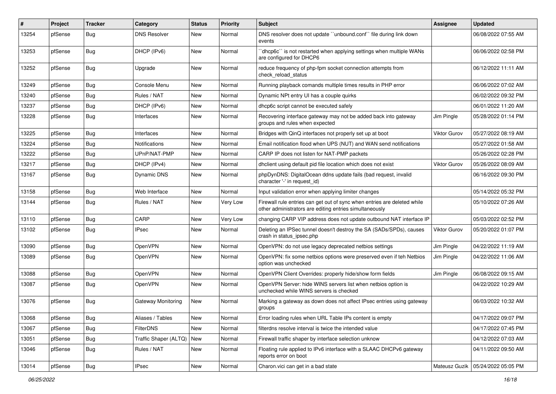| #     | Project | <b>Tracker</b> | Category                  | <b>Status</b> | <b>Priority</b> | <b>Subject</b>                                                                                                                      | Assignee            | <b>Updated</b>                      |
|-------|---------|----------------|---------------------------|---------------|-----------------|-------------------------------------------------------------------------------------------------------------------------------------|---------------------|-------------------------------------|
| 13254 | pfSense | <b>Bug</b>     | <b>DNS Resolver</b>       | <b>New</b>    | Normal          | DNS resolver does not update "unbound.conf" file during link down<br>events                                                         |                     | 06/08/2022 07:55 AM                 |
| 13253 | pfSense | <b>Bug</b>     | DHCP (IPv6)               | New           | Normal          | dhcp6c`` is not restarted when applying settings when multiple WANs<br>are configured for DHCP6                                     |                     | 06/06/2022 02:58 PM                 |
| 13252 | pfSense | Bug            | Upgrade                   | <b>New</b>    | Normal          | reduce frequency of php-fpm socket connection attempts from<br>check reload status                                                  |                     | 06/12/2022 11:11 AM                 |
| 13249 | pfSense | Bug            | Console Menu              | <b>New</b>    | Normal          | Running playback comands multiple times results in PHP error                                                                        |                     | 06/06/2022 07:02 AM                 |
| 13240 | pfSense | <b>Bug</b>     | Rules / NAT               | <b>New</b>    | Normal          | Dynamic NPt entry UI has a couple quirks                                                                                            |                     | 06/02/2022 09:32 PM                 |
| 13237 | pfSense | <b>Bug</b>     | DHCP (IPv6)               | <b>New</b>    | Normal          | dhcp6c script cannot be executed safely                                                                                             |                     | 06/01/2022 11:20 AM                 |
| 13228 | pfSense | <b>Bug</b>     | Interfaces                | New           | Normal          | Recovering interface gateway may not be added back into gateway<br>groups and rules when expected                                   | Jim Pingle          | 05/28/2022 01:14 PM                 |
| 13225 | pfSense | Bug            | Interfaces                | <b>New</b>    | Normal          | Bridges with QinQ interfaces not properly set up at boot                                                                            | <b>Viktor Gurov</b> | 05/27/2022 08:19 AM                 |
| 13224 | pfSense | Bug            | Notifications             | <b>New</b>    | Normal          | Email notification flood when UPS (NUT) and WAN send notifications                                                                  |                     | 05/27/2022 01:58 AM                 |
| 13222 | pfSense | <b>Bug</b>     | UPnP/NAT-PMP              | <b>New</b>    | Normal          | CARP IP does not listen for NAT-PMP packets                                                                                         |                     | 05/26/2022 02:28 PM                 |
| 13217 | pfSense | <b>Bug</b>     | DHCP (IPv4)               | New           | Normal          | dhclient using default pid file location which does not exist                                                                       | <b>Viktor Gurov</b> | 05/26/2022 08:09 AM                 |
| 13167 | pfSense | <b>Bug</b>     | Dynamic DNS               | New           | Normal          | phpDynDNS: DigitalOcean ddns update fails (bad request, invalid<br>character '-' in request_id)                                     |                     | 06/16/2022 09:30 PM                 |
| 13158 | pfSense | <b>Bug</b>     | Web Interface             | New           | Normal          | Input validation error when applying limiter changes                                                                                |                     | 05/14/2022 05:32 PM                 |
| 13144 | pfSense | <b>Bug</b>     | Rules / NAT               | New           | Very Low        | Firewall rule entries can get out of sync when entries are deleted while<br>other administrators are editing entries simultaneously |                     | 05/10/2022 07:26 AM                 |
| 13110 | pfSense | Bug            | CARP                      | <b>New</b>    | Very Low        | changing CARP VIP address does not update outbound NAT interface IP                                                                 |                     | 05/03/2022 02:52 PM                 |
| 13102 | pfSense | <b>Bug</b>     | <b>IPsec</b>              | <b>New</b>    | Normal          | Deleting an IPSec tunnel doesn't destroy the SA (SADs/SPDs), causes<br>crash in status_ipsec.php                                    | Viktor Gurov        | 05/20/2022 01:07 PM                 |
| 13090 | pfSense | <b>Bug</b>     | OpenVPN                   | <b>New</b>    | Normal          | OpenVPN: do not use legacy deprecated netbios settings                                                                              | Jim Pingle          | 04/22/2022 11:19 AM                 |
| 13089 | pfSense | <b>Bug</b>     | OpenVPN                   | New           | Normal          | OpenVPN: fix some netbios options were preserved even if teh Netbios<br>option was unchecked                                        | Jim Pingle          | 04/22/2022 11:06 AM                 |
| 13088 | pfSense | <b>Bug</b>     | <b>OpenVPN</b>            | New           | Normal          | OpenVPN Client Overrides: properly hide/show form fields                                                                            | Jim Pingle          | 06/08/2022 09:15 AM                 |
| 13087 | pfSense | <b>Bug</b>     | OpenVPN                   | <b>New</b>    | Normal          | OpenVPN Server: hide WINS servers list when netbios option is<br>unchecked while WINS servers is checked                            |                     | 04/22/2022 10:29 AM                 |
| 13076 | pfSense | <b>Bug</b>     | <b>Gateway Monitoring</b> | New           | Normal          | Marking a gateway as down does not affect IPsec entries using gateway<br>groups                                                     |                     | 06/03/2022 10:32 AM                 |
| 13068 | pfSense | <b>Bug</b>     | Aliases / Tables          | New           | Normal          | Error loading rules when URL Table IPs content is empty                                                                             |                     | 04/17/2022 09:07 PM                 |
| 13067 | pfSense | <b>Bug</b>     | <b>FilterDNS</b>          | New           | Normal          | filterdns resolve interval is twice the intended value                                                                              |                     | 04/17/2022 07:45 PM                 |
| 13051 | pfSense | <b>Bug</b>     | Traffic Shaper (ALTQ)     | New           | Normal          | Firewall traffic shaper by interface selection unknow                                                                               |                     | 04/12/2022 07:03 AM                 |
| 13046 | pfSense | Bug            | Rules / NAT               | New           | Normal          | Floating rule applied to IPv6 interface with a SLAAC DHCPv6 gateway<br>reports error on boot                                        |                     | 04/11/2022 09:50 AM                 |
| 13014 | pfSense | Bug            | <b>IPsec</b>              | New           | Normal          | Charon.vici can get in a bad state                                                                                                  |                     | Mateusz Guzik   05/24/2022 05:05 PM |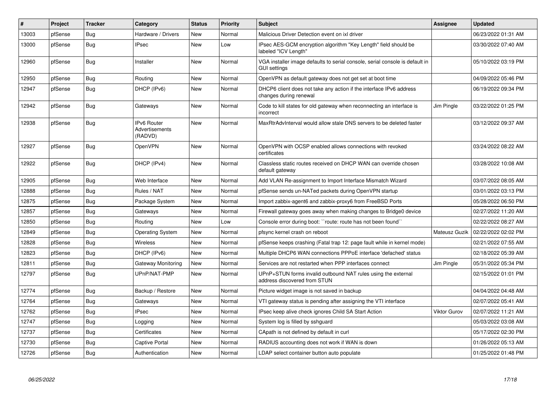| #     | Project | <b>Tracker</b> | Category                                        | <b>Status</b> | Priority | <b>Subject</b>                                                                                | Assignee      | <b>Updated</b>      |
|-------|---------|----------------|-------------------------------------------------|---------------|----------|-----------------------------------------------------------------------------------------------|---------------|---------------------|
| 13003 | pfSense | <b>Bug</b>     | Hardware / Drivers                              | <b>New</b>    | Normal   | Malicious Driver Detection event on ixl driver                                                |               | 06/23/2022 01:31 AM |
| 13000 | pfSense | Bug            | <b>IPsec</b>                                    | <b>New</b>    | Low      | IPsec AES-GCM encryption algorithm "Key Length" field should be<br>labeled "ICV Lenath"       |               | 03/30/2022 07:40 AM |
| 12960 | pfSense | Bug            | Installer                                       | <b>New</b>    | Normal   | VGA installer image defaults to serial console, serial console is default in<br>GUI settinas  |               | 05/10/2022 03:19 PM |
| 12950 | pfSense | Bug            | Routing                                         | <b>New</b>    | Normal   | OpenVPN as default gateway does not get set at boot time                                      |               | 04/09/2022 05:46 PM |
| 12947 | pfSense | <b>Bug</b>     | DHCP (IPv6)                                     | <b>New</b>    | Normal   | DHCP6 client does not take any action if the interface IPv6 address<br>changes during renewal |               | 06/19/2022 09:34 PM |
| 12942 | pfSense | Bug            | Gateways                                        | <b>New</b>    | Normal   | Code to kill states for old gateway when reconnecting an interface is<br>incorrect            | Jim Pingle    | 03/22/2022 01:25 PM |
| 12938 | pfSense | Bug            | <b>IPv6 Router</b><br>Advertisements<br>(RADVD) | <b>New</b>    | Normal   | MaxRtrAdvInterval would allow stale DNS servers to be deleted faster                          |               | 03/12/2022 09:37 AM |
| 12927 | pfSense | <b>Bug</b>     | OpenVPN                                         | <b>New</b>    | Normal   | OpenVPN with OCSP enabled allows connections with revoked<br>certificates                     |               | 03/24/2022 08:22 AM |
| 12922 | pfSense | <b>Bug</b>     | DHCP (IPv4)                                     | <b>New</b>    | Normal   | Classless static routes received on DHCP WAN can override chosen<br>default gateway           |               | 03/28/2022 10:08 AM |
| 12905 | pfSense | Bug            | Web Interface                                   | New           | Normal   | Add VLAN Re-assignment to Import Interface Mismatch Wizard                                    |               | 03/07/2022 08:05 AM |
| 12888 | pfSense | Bug            | Rules / NAT                                     | <b>New</b>    | Normal   | pfSense sends un-NATed packets during OpenVPN startup                                         |               | 03/01/2022 03:13 PM |
| 12875 | pfSense | Bug            | Package System                                  | New           | Normal   | Import zabbix-agent6 and zabbix-proxy6 from FreeBSD Ports                                     |               | 05/28/2022 06:50 PM |
| 12857 | pfSense | Bug            | Gateways                                        | <b>New</b>    | Normal   | Firewall gateway goes away when making changes to Bridge0 device                              |               | 02/27/2022 11:20 AM |
| 12850 | pfSense | Bug            | Routing                                         | <b>New</b>    | Low      | Console error during boot: "route: route has not been found"                                  |               | 02/22/2022 08:27 AM |
| 12849 | pfSense | <b>Bug</b>     | <b>Operating System</b>                         | <b>New</b>    | Normal   | pfsync kernel crash on reboot                                                                 | Mateusz Guzik | 02/22/2022 02:02 PM |
| 12828 | pfSense | <b>Bug</b>     | <b>Wireless</b>                                 | <b>New</b>    | Normal   | pfSense keeps crashing (Fatal trap 12: page fault while in kernel mode)                       |               | 02/21/2022 07:55 AM |
| 12823 | pfSense | Bug            | DHCP (IPv6)                                     | <b>New</b>    | Normal   | Multiple DHCP6 WAN connections PPPoE interface 'defached' status                              |               | 02/18/2022 05:39 AM |
| 12811 | pfSense | <b>Bug</b>     | Gateway Monitoring                              | <b>New</b>    | Normal   | Services are not restarted when PPP interfaces connect                                        | Jim Pingle    | 05/31/2022 05:34 PM |
| 12797 | pfSense | Bug            | UPnP/NAT-PMP                                    | <b>New</b>    | Normal   | UPnP+STUN forms invalid outbound NAT rules using the external<br>address discovered from STUN |               | 02/15/2022 01:01 PM |
| 12774 | pfSense | <b>Bug</b>     | Backup / Restore                                | <b>New</b>    | Normal   | Picture widget image is not saved in backup                                                   |               | 04/04/2022 04:48 AM |
| 12764 | pfSense | <b>Bug</b>     | Gateways                                        | <b>New</b>    | Normal   | VTI gateway status is pending after assigning the VTI interface                               |               | 02/07/2022 05:41 AM |
| 12762 | pfSense | Bug            | <b>IPsec</b>                                    | <b>New</b>    | Normal   | IPsec keep alive check ignores Child SA Start Action                                          | Viktor Gurov  | 02/07/2022 11:21 AM |
| 12747 | pfSense | Bug            | Logging                                         | <b>New</b>    | Normal   | System log is filled by sshquard                                                              |               | 05/03/2022 03:08 AM |
| 12737 | pfSense | Bug            | Certificates                                    | <b>New</b>    | Normal   | CApath is not defined by default in curl                                                      |               | 05/17/2022 02:30 PM |
| 12730 | pfSense | <b>Bug</b>     | Captive Portal                                  | New           | Normal   | RADIUS accounting does not work if WAN is down                                                |               | 01/26/2022 05:13 AM |
| 12726 | pfSense | <b>Bug</b>     | Authentication                                  | <b>New</b>    | Normal   | LDAP select container button auto populate                                                    |               | 01/25/2022 01:48 PM |